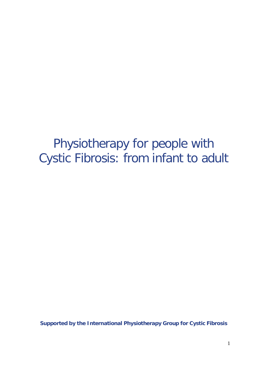## Physiotherapy for people with Cystic Fibrosis: from infant to adult

**Supported by the International Physiotherapy Group for Cystic Fibrosis**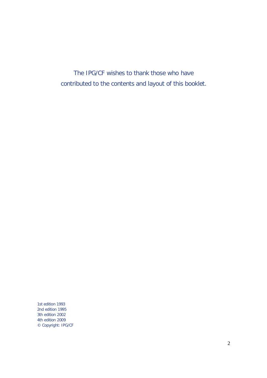*The IPG/CF wishes to thank those who have contributed to the contents and layout of this booklet.*

1st edition 1993 2nd edition 1995 3th edition 2002 4th edition 2009 © Copyright: IPG/CF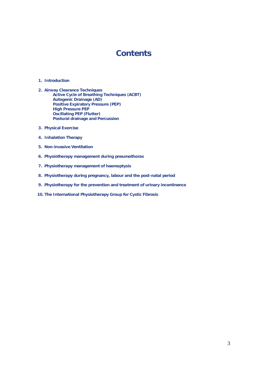### **Contents**

#### **1. Introduction**

- **2. Airway Clearance Techniques Active Cycle of Breathing Techniques (ACBT) Autogenic Drainage (AD) Positive Expiratory Pressure (PEP) High Pressure PEP Oscillating PEP (Flutter) Postural drainage and Percussion**
- **3. Physical Exercise**
- **4. Inhalation Therapy**
- **5. Non-invasive Ventilation**
- **6. Physiotherapy management during pneumothorax**
- **7. Physiotherapy management of haemoptysis**
- **8. Physiotherapy during pregnancy, labour and the post-natal period**
- **9. Physiotherapy for the prevention and treatment of urinary incontinence**
- **10. The International Physiotherapy Group for Cystic Fibrosis**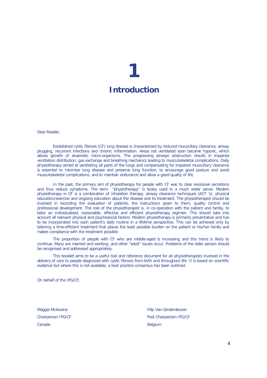## **1 Introduction**

Dear Reader,

Established cystic fibrosis (CF) lung disease is characterized by reduced mucociliary clearance, airway plugging, recurrent infections and chronic inflammation. Areas not ventilated soon become hypoxic, which allows growth of anaerobic micro-organisms. The progressing airways obstruction results in impaired ventilation distribution, gas exchange and breathing mechanics leading to musculoskeletal complications. Daily physiotherapy aimed at ventilating all parts of the lungs and compensating for impaired mucociliary clearance is essential to minimize lung disease and preserve lung function, to encourage good posture and avoid musculoskeletal complications, and to maintain endurance and allow a good quality of life.

In the past, the primary aim of physiotherapy for people with CF was to clear excessive secretions and thus reduce symptoms. The term "physiotherapy" is today used in a much wider sense. Modern physiotherapy in CF is a combination of inhalation therapy, airway clearance techniques (ACT 's), physical education/exercise and ongoing education about the disease and its treatment. The physiotherapist should be involved in recording the evaluation of patients, the instructions given to them, quality control and professional development. The role of the physiotherapist is, in co-operation with the patient and family, to tailor an individualized, reasonable, effective and efficient physiotherapy regimen. This should take into account all relevant physical and psychosocial factors. Modern physiotherapy is primarily preventative and has to be incorporated into each patient's daily routine in a lifetime perspective. This can be achieved only by tailoring a time-efficient treatment that places the least possible burden on the patient or his/her family and makes compliance with the treatment possible.

The proportion of people with CF who are middle-aged is increasing and this trend is likely to continue. Many are married and working ,and other "adult" issues occur. Problems of the older person should be recognised and addressed appropriately.

This booklet aims to be a useful tool and reference document for all physiotherapists involved in the delivery of care to people diagnosed with cystic fibrosis from birth and throughout life. It is based on scientific evidence but where this is not available, a best practice consensus has been outlined.

On behalf of the IPG/CF,

Canada **Belgium** 

Maggie Mcilwaine Filip Van Ginderdeuren Chairperson IPG/CF Past Chairperson IPG/CF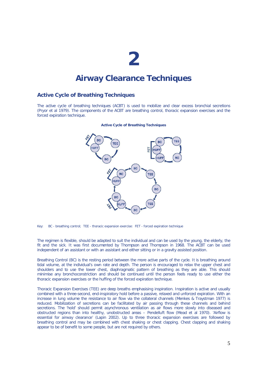### **Airway Clearance Techniques**

#### **Active Cycle of Breathing Techniques**

The active cycle of breathing techniques (ACBT) is used to mobilize and clear excess bronchial secretions (Pryor *et al* 1979). The components of the ACBT are breathing control, thoracic expansion exercises and the forced expiration technique.



#### **Active Cycle of Breathing Techniques**

Key: BC *- breathing control;* TEE *- thoracic expansion exercise:* FET *- forced expiration technique* 

The regimen is flexible, should be adapted to suit the individual and can be used by the young, the elderly, the fit and the sick. It was first documented by Thompson and Thompson in 1968. The ACBT can be used independent of an assistant or with an assistant and either sitting or in a gravity assisted position.

*Breathing Control (BC)* is the resting period between the more active parts of the cycle. It is breathing around tidal volume, at the individual's own rate and depth. The person is encouraged to relax the upper chest and shoulders and to use the lower chest, diaphragmatic pattern of breathing as they are able. This should minimise any bronchoconstriction and should be continued until the person feels ready to use either the thoracic expansion exercises or the huffing of the forced expiration technique.

*Thoracic Expansion Exercises* (TEE) are deep breaths emphasising inspiration. Inspiration is active and usually combined with a three-second, end-inspiratory hold before a passive, relaxed and unforced expiration. With an increase in lung volume the resistance to air flow via the collateral channels (Menkes & Traystman 1977) is reduced. Mobilization of secretions can be facilitated by air passing through these channels and behind secretions. The 'hold' should permit asynchronous ventilation as air flows more slowly into diseased and obstructed regions than into healthy, unobstructed areas – *Pendelluft* flow (Mead *et al* 1970). *'Airflow is essential for airway clearance'* (Lapin 2002). Up to three thoracic expansion exercises are followed by breathing control and may be combined with chest shaking or chest clapping. Chest clapping and shaking appear to be of benefit to some people, but are not required by others.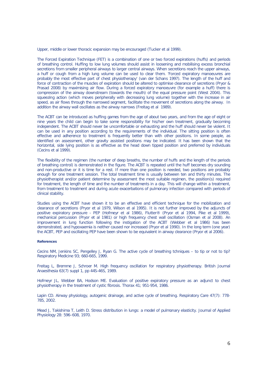Upper, middle or lower thoracic expansion may be encouraged (Tucker *et al* 1999).

*The Forced Expiration Technique* (FET) is a combination of one or two forced expirations (huffs) and periods of breathing control. Huffing to low lung volumes should assist in loosening and mobilising excess bronchial secretions from smaller peripheral airways to larger central airways. When secretions reach the upper airways, a huff or cough from a high lung volume can be used to clear them. *'Forced expiratory manoeuvres are probably the most effective part of chest physiotherapy'* (van der Schans 1997). The length of the huff and force of contraction of the muscles of expiration should be altered to optimise clearance of secretions (Pryor & Prasad 2008) by maximising air flow. During a forced expiratory manoeuvre (for example a huff) there is compression of the airway downstream (towards the mouth) of the equal pressure point (West 2004). This squeezing action (which moves peripherally with decreasing lung volume) together with the increase in air speed, as air flows through the narrowed segment, facilitate the movement of secretions along the airway. In addition the airway wall oscillates as the airway narrows (Freitag *et al* 1989).

The ACBT can be introduced as huffing games from the age of about two years, and from the age of eight or nine years the child can begin to take some responsibility for his/her own treatment, gradually becoming independent. The ACBT should never be uncomfortable or exhausting and the huff should never be violent. It can be used in any position according to the requirements of the individual. The sitting position is often effective and adherence to treatment is frequently better than with other positions. In some people, as identified on assessment, other gravity assisted positions may be indicated. It has been shown that the horizontal, side lying position is as effective as the head down tipped position and preferred by individuals (Cecins *et al* 1999).

The flexibility of the regimen (the number of deep breaths, the number of huffs and the length of the periods of breathing control) is demonstrated in the figure. The ACBT is repeated until the huff becomes dry sounding and non-productive or it is time for a rest. If more than one position is needed, two positions are probably enough for one treatment session. The total treatment time is usually between ten and thirty minutes. The physiotherapist and/or patient determine by assessment the most suitable regimen, the position(s) required for treatment, the length of time and the number of treatments in a day. This will change within a treatment, from treatment to treatment and during acute exacerbations of pulmonary infection compared with periods of clinical stability.

Studies using the ACBT have shown it to be an effective and efficient technique for the mobilization and clearance of secretions (Pryor *et al* 1979, Wilson *et al* 1995). It is not further improved by the adjuncts of positive expiratory pressure - PEP (Hofmeyr *et al* 1986), Flutter® (Pryor *et al* 1994, Pike *et al* 1999), mechanical percussion (Pryor *et al* 1981) or high frequency chest wall oscillation (Osman *et al* 2008). An improvement in lung function following the instigation of the ACBT (Webber *et al* 1986) has been demonstrated, and hypoxaemia is neither caused nor increased (Pryor *et al* 1990). In the long term (one year) the ACBT, PEP and oscillating PEP have been shown to be equivalent in airway clearance (Pryor *et al* 2006).

#### **References**

Cecins NM, Jenkins SC, Pengelley J, Ryan G. The active cycle of breathing tchniques – to tip or not to tip? Respiratory Medicine 93; 660-665, 1999.

Freitag L, Bremme J, Schroer M. High frequency oscillation for respiratory physiotherapy. British Journal Anaesthesia 63(7) suppl 1, pp 44S-46S, 1989.

Hofmeyr JL, Webber BA, Hodson ME. Evaluation of positive expiratory pressure as an adjunct to chest physiotherapy in the treatment of cystic fibrosis. Thorax 41; 951-954, 1986.

Lapin CD. Airway physiology, autogenic drainage, and active cycle of breathing. Respiratory Care 47(7): 778-785, 2002.

Mead J, Takishima T, Leith D. Stress distribution in lungs: a model of pulmonary elasticity. Journal of Applied Physiology 28: 596–608, 1970.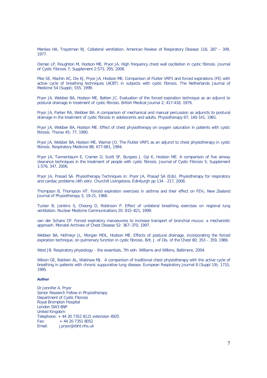Menkes HA, Traystman RJ. Collateral ventilation. American Review of Respiratory Disease 116; 287 – 309, 1977.

Osman LP, Roughton M, Hodson ME, Pryor JA. High frequency chest wall oscillation in cystic fibrosis. Journal of Cystic Fibrosis 7; Supplement 2:S73, 295, 2008.

Pike SE, Machin AC, Dix KJ, Pryor JA, Hodson ME. Comparison of Flutter VRP1 and forced expirations (FE) with active cycle of breathing techniques (ACBT) in subjects with cystic fibrosis. The Netherlands Journal of Medicine 54 (Suppl); S55, 1999.

Pryor JA, Webber BA, Hodson ME, Batten JC. Evaluation of the forced expiration technique as an adjunct to postural drainage in treatment of cystic fibrosis. British Medical Journal 2; 417-418, 1979.

Pryor JA, Parker RA, Webber BA. A comparison of mechanical and manual percussion as adjuncts to postural drainage in the treatment of cystic fibrosis in adolescents and adults. Physiotherapy 67; 140-141, 1981.

Pryor JA, Webber BA, Hodson ME. Effect of chest physiotherapy on oxygen saturation in patients with cystic fibrosis. Thorax 45; 77, 1990.

Pryor JA, Webber BA, Hodson ME, Warner JO. The Flutter VRP1 as an adjunct to chest physiotherapy in cystic fibrosis. Respiratory Medicine 88; 677-681, 1994.

Pryor JA, Tannenbaum E, Cramer D, Scott SF, Burgess J, Gyi K, Hodson ME. A comparison of five airway clearance techniques in the treatment of people with cystic fibrosis. Journal of Cystic Fibrosis 5; Supplement 1:S76, 347, 2006.

Pryor JA, Prasad SA. Physiotherapy Techniques in: Pryor JA, Prasad SA (Eds). Physiotherapy for respiratory and cardiac problems (4th edn). Churchill Livingstone, Edinburgh pp 134 - 217, 2008.

Thompson B, Thompson HT. Forced expiration exercises in asthma and their effect on FEV1. New Zealand Journal of Physiotherapy 3; 19-21, 1968.

Tucker B, Jenkins S, Cheong D, Robinson P. Effect of unilateral breathing exercises on regional lung ventilation. Nuclear Medicine Communications 20: 815–821, 1999.

van der Schans CP. Forced expiratory manoeuvres to increase transport of bronchial mucus: a mechanistic approach. Monaldi Archives of Chest Disease 52: 367–370, 1997.

Webber BA, Hofmeyr JL, Morgan MDL, Hodson ME. Effects of postural drainage, incorporating the forced expiration technique, on pulmonary function in cystic fibrosis. Brit. J. of Dis. of the Chest 80; 353 – 359, 1986.

West JB. Respiratory physiology – the essentials, 7th edn. Williams and Wilkins, Baltimore, 2004.

Wilson GE, Baldwin AL, Walshaw MJ. A comparison of traditional chest physiotherapy with the active cycle of breathing in patients with chronic suppurative lung disease. European Respiratory Journal 8 (Suppl 19); 171S, 1995.

#### **Author**

Dr Jennifer A. Pryor Senior Research Fellow in Physiotherapy Department of Cystic Fibrosis Royal Brompton Hospital London SW3 6NP United Kingdom Telephone: + 44 20 7352 8121 extension 4925  $Fax: + 442073518052$ Email: j.pryor@rbht.nhs.uk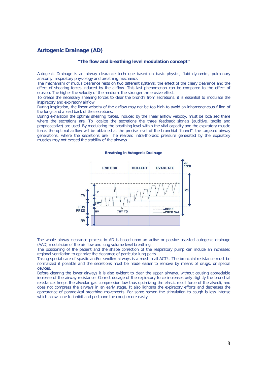#### **Autogenic Drainage (AD)**

#### **"The flow and breathing level modulation concept"**

Autogenic Drainage is an airway clearance technique based on basic physics, fluid dynamics, pulmonary anatomy, respiratory physiology and breathing mechanics.

The mechanism of mucus clearance rests on two different systems: the effect of the ciliary clearance and the effect of shearing forces induced by the airflow. This last phenomenon can be compared to the effect of erosion. The higher the velocity of the medium, the stronger the erosive effect.

To create the necessary shearing forces to clear the bronchi from secretions, it is essential to modulate the inspiratory and expiratory airflow.

During inspiration, the linear velocity of the airflow may not be too high to avoid an inhomogeneous filling of the lungs and a lead back of the secretions.

During exhalation the optimal shearing forces, induced by the linear airflow velocity, must be localized there where the secretions are. To localize the secretions the three feedback signals (auditive, tactile and proprioceptive) are used. By modulating the breathing level within the vital capacity and the expiratory muscle force, the optimal airflow will be obtained at the precise level of the bronchial "funnel", the targeted airway generations, where the secretions are. The realized intra-thoracic pressure generated by the expiratory muscles may not exceed the stability of the airways.

#### **Breathing in Autogenic Drainage**



The whole airway clearance process in AD is based upon an active or passive assisted autogenic drainage (AAD) modulation of the air flow and lung volume level breathing.

The positioning of the patient and the shape correction of the respiratory pump can induce an increased regional ventilation to optimize the clearance of particular lung parts.

Taking special care of spastic and/or swollen airways is a must in all ACT's. The bronchial resistance must be normalized if possible and the secretions must be made easier to remove by means of drugs, or special devices.

Before clearing the lower airways it is also evident to clear the upper airways, without causing appreciable increase of the airway resistance. Correct dosage of the expiratory force increases only slightly the bronchial resistance, keeps the alveolar gas compression low thus optimizing the elastic recoil force of the alveoli, and does not compress the airways in an early stage. It also lightens the expiratory efforts and decreases the appearance of paradoxical breathing movements. For some reason the stimulation to cough is less intense which allows one to inhibit and postpone the cough more easily.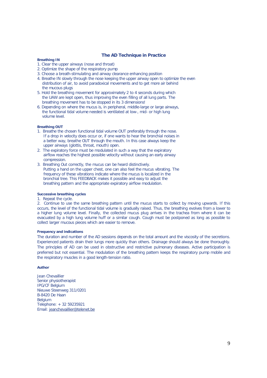#### **The AD Technique in Practice**

#### **Breathing IN**

- 1. Clear the upper airways (nose and throat)
- 2. Optimize the shape of the respiratory pump
- 3. Choose a breath-stimulating and airway clearance enhancing position
- 4. Breathe IN slowly through the nose keeping the upper airway open to optimize the even distribution of air, to avoid paradoxical movements and to get more air behind the mucous plugs
- 5. Hold the breathing movement for approximately 2 to 4 seconds during which the UAW are kept open, thus improving the even filling of all lung parts. The breathing movement has to be stopped in its 3 dimensions!
- 6. Depending on where the mucus is, in peripheral, middle-large or large airways, the functional tidal volume needed is ventilated at low-, mid- or high lung volume level.

#### **Breathing OUT**

- 1. Breathe the chosen functional tidal volume OUT preferably through the nose. If a drop in velocity does occur or, if one wants to hear the bronchial noises in a better way, breathe OUT through the mouth. In this case always keep the upper airways (glottis, throat, mouth) open.
- 2. The expiratory force must be modulated in such a way that the expiratory airflow reaches the highest possible velocity without causing an early airway compression.
- 3. Breathing Out correctly, the mucus can be heard distinctively. Putting a hand on the upper chest, one can also feel the mucus vibrating. The frequency of these vibrations indicate where the mucus is localized in the bronchial tree. This FEEDBACK makes it possible and easy to adjust the breathing pattern and the appropriate expiratory airflow modulation.

#### **Successive breathing cycles**

1. Repeat the cycle.

2.Continue to use the same breathing pattern until the mucus starts to collect by moving upwards. If this occurs, the level of the functional tidal volume is gradually raised. Thus, the breathing evolves from a lower to a higher lung volume level. Finally, the collected mucus plug arrives in the trachea from where it can be evacuated by a high lung volume huff or a similar cough. Cough must be postponed as long as possible to collect larger mucous pieces which are easier to remove.

#### **Frequency and indications**

The duration and number of the AD sessions depends on the total amount and the viscosity of the secretions. Experienced patients drain their lungs more quickly than others. Drainage should always be done thoroughly. The principles of AD can be used in obstructive and restrictive pulmonary diseases. Active participation is preferred but not essential. The modulation of the breathing pattern keeps the respiratory pump mobile and the respiratory muscles in a good length-tension ratio.

#### **Author**

Jean Chevaillier Senior physiotherapist IPG/CF Belgium Nieuwe Steenweg 311/0201 B-8420 De Haan Belgium Telephone: + 32 59235921 Email: jeanchevaillier@telenet.be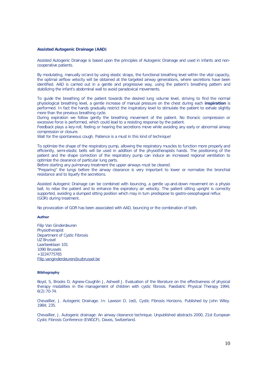#### **Assisted Autogenic Drainage (AAD)**

Assisted Autogenic Drainage is based upon the principles of Autogenic Drainage and used in infants and noncooperative patients.

By modulating, manually or/and by using elastic straps, the functional breathing level within the vital capacity, the optimal airflow velocity will be obtained at the targeted airway generations, where secretions have been identified. AAD is carried out in a gentle and progressive way, using the patient's breathing pattern and stabilizing the infant's abdominal wall to avoid paradoxical movements.

To guide the breathing of the patient towards the desired lung volume level, striving to find the normal physiological breathing level, a gentle increase of manual pressure on the chest during each **inspiration** is performed. In fact the hands gradually restrict the inspiratory level to stimulate the patient to exhale slightly more than the previous breathing cycle.

During expiration we follow gently the breathing movement of the patient. No thoracic compression or excessive force is performed, which could lead to a resisting response by the patient.

Feedback plays a key-roll, feeling or hearing the secretions move while avoiding any early or abnormal airway compression or closure.

Wait for the spontaneous cough. Patience is a must in this kind of technique!

To optimize the shape of the respiratory pump, allowing the respiratory muscles to function more properly and efficiently, semi-elastic belts will be used in addition of the physiotherapists hands. The positioning of the patient and the shape correction of the respiratory pump can induce an increased regional ventilation to optimize the clearance of particular lung parts.

Before starting any pulmonary treatment the upper airways must be cleared.

"Preparing" the lungs before the airway clearance is very important to lower or normalize the bronchial resistance and to liquefy the secretions.

Assisted Autogenic Drainage can be combined with bouncing, a gentle up-and-down movement on a physio ball, to relax the patient and to enhance the expiratory air velocity. The patient sitting upright is correctly supported, avoiding a slumped sitting position which may in turn predispose to gastro-oesophageal reflux (GOR) during treatment.

No provocation of GOR has been associated with AAD, bouncing or the combination of both.

#### **Author**

Filip Van Ginderdeuren Physiotherapist Department of Cystic Fibrosis UZ Brussel Laarbeeklaan 101 1090 Brussels  $+3224775765$ Filip.vanginderdeuren@uzbrussel.be

#### **Bibliography**

Boyd, S, Brooks D, Agnew-Coughlin J, Ashwell J. Evaluation of the literature on the effectiveness of physical therapy modalities in the management of children with cystic fibrosis. Paediatric Physical Therapy 1994; 6(2):70-74.

Chevaillier, J. Autogenic Drainage. In: Lawson D. (ed), Cystic Fibrosis Horizons. Published by John Wiley. 1984; 235.

Chevaillier, J. Autogenic drainage: An airway clearance technique. Unpublished abstracts 2000, 21st European Cystic Fibrosis Conference (EWGCF), Davos, Switzerland.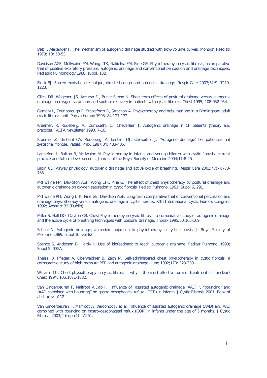Dab I, Alexander F, The mechanism of autogenic drainage studied with flow-volume curves. Monogr, Paediatr 1979; 10: 50-53.

Davidson AGF, McIlwaine PM, Wong LTK, Nakielna EM, Pirie GE. Physiotherapy in cystic fibrosis, a comparative trial of positive expiratory pressure, autogenic drainage and conventional percussion and drainage techniques. Pediatric Pulmonology 1988, suppl. 132.

Finck BJ. Forced expiration technique, directed cough and autogenic drainage. Respir Care 2007;52;9: 1210- 1223.

Giles, DR, Wagener, JS, Accurso FJ, Butler-Simon N. Short term effects of postural drainage versus autogenic drainage on oxygen saturation and sputum recovery in patients with cystic fibrosis. Chest 1995; 108:952-954.

Gumery L, Edenborough F, Stableforth D, Strachan A. Physiotherapy and nebuliser use in a Birmingham adult cystic fibrosis unit. Physiotherapy 1998; 84:127-132.

Kraemer, R. Rudeberg, A., Zumbuehl, C., Chevaillier, J. Autogenic drainage in CF patients (theory and practice). IACFA Newsletter 1990, 7-10.

Kraemer Z. Umbuhl CA, Rudeberg, A, Lentze, MJ, Chevaillier J. 'Autogene drainage' bei patienten mit zystischer fibrose, Padiat. Prax. 1987;34: 483-485.

Lannefors L, Button B, McIlwaine M. Physiotherapy in infants and young children with cystic fibrosis: current practice and future developments. Journal of the Royal Society of Medicine 2004;11:8-25

Lapin CD. Airway physiology, autogenic drainage and active cycle of breathing. Respir Care 2002;47(7):778-785.

McIlwaine PM, Davidson AGF, Wong LTK, Pirie G. The effect of chest physiotherapy by postural drainage and autogenic drainage on oxygen saturation in cystic fibrosis. Pediatr Pulmonol 1991; Suppl 6, 291.

McIlwaine PM, Wong LTK, Pirie GE, Davidson AGF. Long-term comparative trial of conventional percussion and drainage physiotherapy versus autogenic drainage in cystic fibrosis. XIth International Cystic Fibrosis Congress 1992; Abstract 32 (Dublin).

Miller S, Hall DO, Clayton CB. Chest Physiotherapy in cystic fibrosis: a comparative study of autogenic drainage and the active cycle of breathing techniques with postural drainage. Thorax 1995;50;165-169.

Schöni N. Autogenic drainage, a modern approach to physiotherapy in cystic fibrosis. J. Royal Society of Medicine 1989, suppl 16, vol 82.

Spence S. Anderson B, Hardy K. Use of biofeedback to teach autogenic drainage. Pediatr Pulmonol 1990; Suppl 5: 332A.

Theissl B, Pfleger A, Oberwaldner B, Zach M. Self-administered chest physiotherapy in cystic fibrosis, a comparative study of high pressure PEP and autogenic drainage. Lung 1992;170: 323-330.

Williams MT. Chest physiotherapy in cystic fibrosis – why is the most effective form of treatment still unclear? Chest 1994; 106:1871-1882.

Van Ginderdeuren F, Malfroot A,Dab I. Influence of "assisted autogenic drainage (AAD) ", "bouncing" and "AAD combined with bouncing" on gastro-oesophageal reflux (GOR) in infants. J Cystic Fibrosis 2001; Book of abstracts; p112.

Van Ginderdeuren F, Malfroot A, Verdonck J, et al. Influence of assisted autogenic drainage (AAD) and AAD combined with bouncing on gastro-oesophageal reflux (GOR) in infants under the age of 5 months. J Cystic Fibrosis 2003;2 (suppl1) : A251.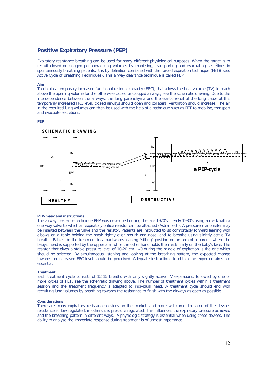#### **Positive Expiratory Pressure (PEP)**

Expiratory resistance breathing can be used for many different physiological purposes. When the target is to recruit closed or clogged peripheral lung volumes by mobilising, transporting and evacuating secretions in spontaneously breathing patients, it is by definition combined with the forced expiration technique (FET)( see: Active Cycle of Breathing Techniques). This airway clearance technique is called PEP.

#### **Aim**

To obtain a temporary increased functional residual capacity (FRC), that allows the tidal volume (TV) to reach above the opening volume for the otherwise closed or clogged airways, see the schematic drawing. Due to the interdependence between the airways, the lung parenchyma and the elastic recoil of the lung tissue at this temporarily increased FRC level, closed airways should open and collateral ventilation should increase. The air in the recruited lung volumes can then be used with the help of a technique such as FET to mobilise, transport and evacuate secretions.

#### **PEP**



#### **PEP-mask and instructions**

The airway clearance technique PEP was developed during the late 1970's – early 1980's using a mask with a one-way valve to which an expiratory orifice resistor can be attached (Astra Tech). A pressure manometer may be inserted between the valve and the resistor. Patients are instructed to sit comfortably forward leaning with elbows on a table holding the mask tightly over mouth and nose, and to breathe using slightly active TV breaths. Babies do the treatment in a backwards leaning "sitting" position on an arm of a parent, where the baby's head is supported by the upper arm while the other hand holds the mask firmly on the baby's face. The resistor that gives a stable pressure level of 10-20 cm H<sub>2</sub>O during the middle of expiration is the one which should be selected. By simultaneous listening and looking at the breathing pattern, the expected change towards an increased FRC level should be perceived. Adequate instructions to obtain the expected aims are essential.

#### **Treatment**

Each treatment cycle consists of 12-15 breaths with only slightly active TV expirations, followed by one or more cycles of FET, see the schematic drawing above. The number of treatment cycles within a treatment session and the treatment frequency is adapted to individual need. A treatment cycle should end with recruiting lung volumes by breathing towards the resistance to finish with the airways as open as possible.

#### **Considerations**

There are many expiratory resistance devices on the market, and more will come. In some of the devices resistance is flow regulated, in others it is pressure regulated. This influences the expiratory pressure achieved and the breathing pattern in different ways. A physiologic strategy is essential when using these devices. The ability to analyse the immediate response during treatment is of utmost importance.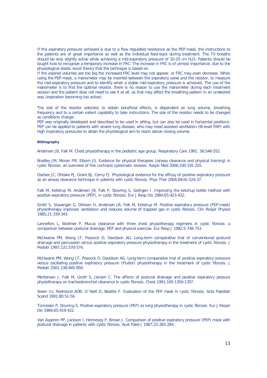If the expiratory pressure achieved is due to a flow regulated resistance as the PEP-mask, the instructions to the patients are of great importance as well as the individual feed-back during treatment. The TV breaths should be only slightly active while achieving a mid-expiratory pressure of 10-20 cm  $H_2O$ . Patients should be taught how to recognize a temporary increase in FRC. The increase in FRC is of utmost importance, due to the physiological elastic recoil theory that the technique is based on.

If the expired volumes are too big the increased FRC level may not appear, or FRC may even decrease. When using the PEP-mask, a manometer may be inserted between the expiratory valve and the resistor, to measure the mid-expiratory pressure and to identify when a stable mid-expiratory pressure is achieved. The use of the manometer is to find the optimal resistor, there is no reason to use the manometer during each treatment session and the patient does not need to see it at all, as that may affect the breathing pattern in an undesired way (expiration becoming too active).

The size of the resistor selected, to obtain beneficial effects, is dependent on lung volume, breathing frequency and to a certain extent capability to take instructions. The size of the resistor needs to be changed as conditions change.

PEP was originally developed and described to be used in sitting, but can also be used in horizontal positions. PEP can be applied to patients with severe lung disease, who may need assisted ventilation (Bi-level PAP) with high inspiratory pressures to attain the physiological aim to reach above closing volume.

#### **Bibliography**

Andersen JB, Falk M. Chest physiotherapy in the pediatric age group. Respiratory Care 1991; 36:546-552.

Bradley JM, Moran FM, Elborn JS. Evidence for physical therapies (airway clearance and physical training) in cystic fibrosis: an overview of five cochrane systematic reviews. Respir Med 2006;100:191-201.

Darbee JC, Ohtake PJ, Grant BJ, Cerny FJ. Physiological evidence for the efficay of positive expiratory pressure as an airway clearance technique in patients with cystic fibrosis. Phys Ther 2004;84(6):524-37.

Falk M, Kelstrup M, Andersen JB, Falk P, Stovring S, Gothgen I. Improving the ketchup bottle method with positive expiratory pressure (PEP), in cystic fibrosis. Eur J Resp Dis 1984;65:423-432.

Groth S, Stavanger G, Dirksen H, Andersen JB, Falk M, Kelstrup M. Positive expiratory pressure (PEP-mask) physiotherapy improves ventilation and reduces volume of trapped gas in cystic fibrosis. Clin Respir Physiol 1985;21:339-343.

Lannefors L, Wollmer P. Mucus clearance with three chest physiotherapy regimens in cystic fibrosis: a comparison between postural drainage, PEP and physical exercise. Eur Resp J 1992;5:748-753.

McIlwaine PM, Wong LT, Peacock D, Davidson AG. Long-term comparative trial of conventional postural drainage and percussion versus positive expiratory pressure physiotherapy in the treatment of cystic fibrosis. J Pediatr 1997;131:570-574.

McIlwaine PM, Wong LT, Peacock D, Davidson AG. Long-term comparative trial of positive expiratory pressure versus oscillating positive expiratory pressure (Flutter) physiotherapy in the treatment of cystic fibrosis. J Pediatr 2001;138:845-850.

Mortensen J, Falk M, Groth S, Jensen C. The effects of postural drainage and positive expiratory pessure physiotherapy on tracheobronchial clearance in cystic fibrosis. Chest 1991;100:1350-1357.

Steen IU, Redmond AOB, O´Neill D, Beattie F. Evaluation of the PEP mask in cystic fibrosis. Acta Paediatr Scand 1991;80:51-56.

Tonnesen P, Stovring S. Positive expiratory pressure (PEP) as lung physiotherapy in cystic fibrosis. Eur J Respir Dis 1984;65:419-422.

Van Asperen PP, Jackson I, Hennesey P, Brown J. Comparison of positive expiratory pressure (PEP) mask with postural drainage in patients with cystic fibrosis. Aust Paed J 1987;23:283-284.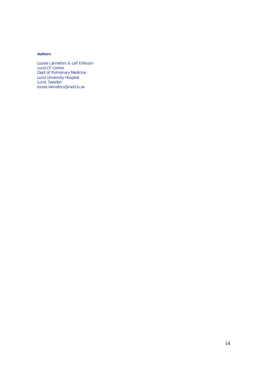#### **Authors**

Louise Lannefors & Leif Eriksson Lund CF Centre Dept of Pulmonary Medicine Lund University Hospital Lund, Sweden louise.lannefors@med.lu.se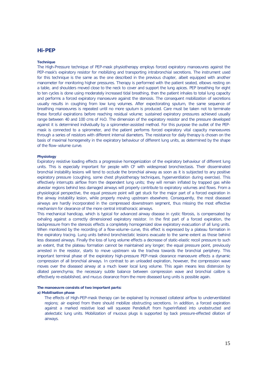#### **Hi-PEP**

#### **Technique**

The High-Pressure technique of PEP-mask physiotherapy employs forced expiratory manoeuvres against the PEP-mask's expiratory resistor for mobilizing and transporting intrabronchial secretions. The instrument used for this technique is the same as the one described in the previous chapter, albeit equipped with another manometer for monitoring higher pressures. Therapy is performed with the patient seated, elbows resting on a table, and shoulders moved close to the neck to cover and support the lung apices. PEP breathing for eight to ten cycles is done using moderately increased tidal breathing, then the patient inhales to total lung capacity and performs a forced expiratory manoeuvre against the stenosis. The consequent mobilization of secretions usually results in coughing from low lung volumes. After expectorating sputum, the same sequence of breathing manoeuvres is repeated until no more sputum is produced. Care must be taken not to terminate these forceful expirations before reaching residual volume; sustained expiratory pressures achieved usually range between 40 and 100 cms of H<sub>2</sub>O. The dimension of the expiratory resistor and the pressure developed against it is determined individually by a spirometer-assisted method. For this purpose the outlet of the PEPmask is connected to a spirometer, and the patient performs forced expiratory vital capacity manoeuvres through a series of resistors with different internal diameters. The resistance for daily therapy is chosen on the basis of maximal homogeneity in the expiratory behaviour of different lung units, as determined by the shape of the flow–volume curve.

#### **Physiology**

Expiratory resistive loading effects a progressive homogenization of the expiratory behaviour of different lung units. This is especially important for people with CF with widespread bronchiectasis. Their disseminated bronchial instability lesions will tend to occlude the bronchial airway as soon as it is subjected to any positive expiratory pressure (coughing, some chest physiotherapy techniques, hyperventilation during exercise). This effectively interrupts airflow from the dependent lung units; they will remain inflated by trapped gas while alveolar regions behind less damaged airways will properly contribute to expiratory volumes and flows. From a physiological perspective, the equal pressure point will get stuck for the major part of a forced expiration in the airway instability lesion, while properly moving upstream elsewhere. Consequently, the most diseased airways are hardly incorporated in the compressed downstream segment, thus missing the most effective mechanism for clearance of the more central intrathoracic airways.

This mechanical handicap, which is typical for advanced airway disease in cystic fibrosis, is compensated by exhaling against a correctly dimensioned expiratory resistor. In the first part of a forced expiration, the backpressure from the stenosis effects a completely homogenized slow expiratory evacuation of all lung units. When monitored by the recording of a flow-volume–curve, this effect is expressed by a plateau formation in the expiratory tracing. Lung units behind bronchiectatic lesions evacuate to the same extent as those behind less diseased airways. Finally the loss of lung volume effects a decrease of static-elastic recoil pressure to such an extent, that the plateau formation cannot be maintained any longer; the equal pressure point, previously arrested in the resistor, starts to move upstream via the trachea towards the bronchial periphery. This important terminal phase of the expiratory high-pressure PEP-mask clearance manoeuvre effects a dynamic compression of all bronchial airways. In contrast to an unloaded expiration, however, the compression wave moves over the diseased airway at a much lower local lung volume. This again means less distension by dilated parenchyma; the necessary subtle balance between compression wave and bronchial calibre is effectively re-established, and mucus clearance from the more diseased lung units is possible again.

#### **The manoeuvre consists of two important parts:**

#### **a) Mobilisation phase**

The effects of High-PEP-mask therapy can be explained by increased collateral airflow to underventilated regions; air expired from there should mobilize obstructing secretions. In addition, a forced expiration against a marked resistive load will squeeze Pendelluft from hyperinflated into unobstructed and atelectatic lung units. Mobilization of mucous plugs is supported by back pressure-effected dilation of airways.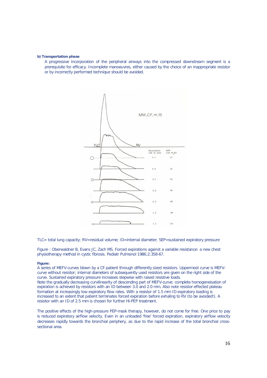#### **b) Transportation phase**

A progressive incorporation of the peripheral airways into the compressed downstream segment is a prerequisite for efficacy. Incomplete manoeuvres, either caused by the choice of an inappropriate resistor or by incorrectly performed technique should be avoided.



TLC= total lung capacity; RV=residual volume; ID=internal diameter; SEP=sustained expiratory pressure

Figure : Oberwaldner B, Evans JC, Zach MS. Forced expirations against a variable resistance: a new chest physiotherapy method in cystic fibrosis. Pediatr Pulmonol 1986;2:358-67.

#### **Figure:**

A series of MEFV-curves blown by a CF-patient through differently sized resistors. Uppermost curve is MEFVcurve without resistor; internal diameters of subsequently used resistors are given on the right side of the curve. Sustained expiratory pressure increases stepwise with raised resistive loads. Note the gradually decreasing curvilinearity of descending part of MEFV-curve; complete homogeneisation of expiration is achieved by resistors with an ID between 3.0 and 2.0 mm. Also note resistor-effected plateau formation at increasingly low expiratory flow rates. With a resistor of 1.5 mm ID expiratory loading is increased to an extent that patient terminates forced expiration before exhaling to RV (to be avoided!). A resistor with an ID of 2.5 mm is chosen for further Hi-PEP treatment.

The positive effects of the high-pressure PEP-mask therapy, however, do not come for free. One price to pay is reduced expiratory airflow velocity. Even in an unloaded 'free' forced expiration, expiratory airflow velocity decreases rapidly towards the bronchial periphery, as due to the rapid increase of the total bronchial crosssectional area.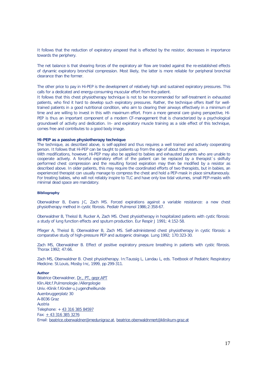It follows that the reduction of expiratory airspeed that is effected by the resistor, decreases in importance towards the periphery.

The net balance is that shearing forces of the expiratory air flow are traded against the re-established effects of dynamic expiratory bronchial compression. Most likely, the latter is more reliable for peripheral bronchial clearance than the former.

The other price to pay in Hi-PEP is the development of relatively high and sustained expiratory pressures. This calls for a dedicated and energy-consuming muscular effort from the patient.

It follows that this chest physiotherapy technique is not to be recommended for self-treatment in exhausted patients, who find it hard to develop such expiratory pressures. Rather, the technique offers itself for welltrained patients in a good nutritional condition, who aim to clearing their airways effectively in a minimum of time and are willing to invest in this with maximum effort. From a more general care giving perspective, Hi-PEP is thus an important component of a modern CF-management that is characterized by a psychological groundswell of activity and dedication. In- and expiratory muscle training as a side effect of this technique, comes free and contributes to a good body image.

#### **Hi-PEP as a passive physiotherapy technique**

The technique, as described above, is self-applied and thus requires a well trained and actively cooperating person. It follows that Hi-PEP can be taught to patients up from the age of about four years.

With modifications, however, Hi-PEP may also be applied to babies and exhausted patients who are unable to cooperate actively. A forceful expiratory effort of the patient can be replaced by a therapist´s skilfully performed chest compression and the resulting forced expiration may then be modified by a resistor as described above. In older patients, this may require the coordinated efforts of two therapists, but in babies, an experienced therapist can usually manage to compress the chest and hold a PEP-mask in place simultaneously. For treating babies, who will not reliably inspire to TLC and have only low tidal volumes, small PEP-masks with minimal dead space are mandatory.

#### **Bibliography**

Oberwaldner B, Evans JC, Zach MS. Forced expirations against a variable resistance: a new chest physiotherapy method in cystic fibrosis. Pediatr Pulmonol 1986;2:358-67.

Oberwaldner B, Theissl B, Rucker A, Zach MS. Chest physiotherapy in hospitalized patients with cystic fibrosis: a study of lung function effects and sputum production. Eur Respir J 1991; 4:152-58.

Pfleger A, Theissl B, Oberwaldner B, Zach MS. Self-administered chest physiotherapy in cystic fibrosis: a comparative study of high-pressure PEP and autogenic drainage. Lung 1992; 170:323-30.

Zach MS, Oberwaldner B. Effect of positive expiratory pressure breathing in patients with cystic fibrosis. Thorax 1992; 47:66.

Zach MS, Oberwaldner B. Chest physiotherapy. In:Taussig L, Landau L, eds. Textbook of Pediatric Respiratory Medicine. St.Louis, Mosby Inc, 1999, pp 299-311.

#### **Author**

Béatrice Oberwaldner, Dr., PT, gepr.APT Klin.Abt.f.Pulmonologie /Allergologie Univ.-Klinik f.Kinder-u.Jugendheilkunde Auenbruggerplatz 30 A-8036 Graz Austria Telephone: + 43 316 385 84597 Fax: + 43 316 385 3276 Email: beatrice.oberwaldner@medunigraz.at, beatrice.oberwaldnmert@klinikum-graz.at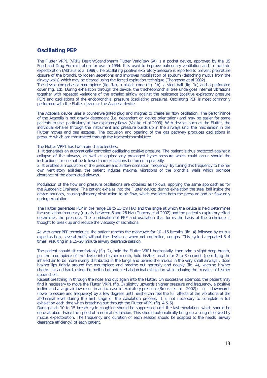#### **Oscillating PEP**

The Flutter VRP1 (VRP1 Desitin/Scandipharm Flutter VarioRaw SA) is a pocket device, approved by the US Food and Drug Administration for use in 1994. It is used to improve pulmonary ventilation and to facilitate expectoration (Althaus *et al* 1989).The oscillating positive expiratory pressure is reported to prevent premature closure of the bronchi, to loosen secretions and improves mobilisation of sputum (detaching mucus from the airway walls) which may be cleared using the forced expiration technique (Thompson *et al* 2002) .

The device comprises a mouthpiece (fig. 1a), a plastic cone (fig. 1b), a steel ball (fig. 1c) and a perforated cover (fig. 1d). During exhalation through the device, the tracheobronchial tree undergoes internal vibrations together with repeated variations of the exhaled airflow against the resistance (positive expiratory pressure PEP) and oscillations of the endobronchial pressure (oscillating pressure). Oscillating PEP is most commonly performed with the Flutter device or the Acapella device.

The Acapella device uses a counterweighted plug and magnet to create air flow oscillation. The performance of the Acapella is not gravity dependent (i.e. dependent on device orientation) and may be easier for some patients to use, particularly at low expiratory flows (Volsko *et al* 2003). With devices such as the Flutter, the individual exhales through the instrument and pressure builds up in the airways until the mechanism in the Flutter moves and gas escapes. The occlusion and opening of the gas pathway produces oscillations in pressure which are transmitted through the tracheobronchial tree.

#### The Flutter VRP1 has two main characteristics:

1. It generates an automatically controlled oscillating positive pressure. The patient is thus protected against a collapse of the airways, as well as against any prolonged hyper-pressure which could occur should the instructions for use not be followed and exhalations be forced repeatedly.

2. It enables a modulation of the pressure and airflow oscillation frequency. By tuning this frequency to his/her own ventilatory abilities, the patient induces maximal vibrations of the bronchial walls which promote clearance of the obstructed airways.

Modulation of the flow and pressure oscillations are obtained as follows, applying the same approach as for the Autogenic Drainage: The patient exhales into the Flutter device; during exhalation the steel ball inside the device bounces, causing vibratory obstruction to air flow, which oscillates both the pressure and air flow only during exhalation.

The Flutter generates PEP in the range 18 to 35 cm  $H_2O$  and the angle at which the device is held determines the oscillation frequency (usually between 6 and 26 Hz) (Gumery *et al* 2002) and the patient's expiratory effort determines the pressure. The combination of PEP and oscillation that forms the basis of the technique is thought to break up and reduce the viscosity of secretions.

As with other PEP techniques, the patient repeats the maneuver for 10 –15 breaths (fig. 4) followed by mucus expectoration, several huffs without the device or when not controlled, coughs. This cycle is repeated 3–4 times, resulting in a 15–20 minute airway clearance session.

The patient should sit comfortably (fig. 2), hold the Flutter VRP1 horizontally, then take a slight deep breath, put the mouthpiece of the device into his/her mouth, hold his/her breath for 2 to 3 seconds (permitting the inhaled air to be more evenly distributed in the lungs and behind the mucus in the very small airways), close his/her lips tightly around the mouthpiece and breathe out normally and deeply (fig. 4), keeping his/her cheeks flat and hard, using the method of unforced abdominal exhalation while relaxing the muscles of his/her upper chest.

Repeat breathing in through the nose and out again into the Flutter. On successive attempts, the patient may find it necessary to move the Flutter VRP1 (fig. 3) slightly upwards (higher pressure and frequency, a positive incline and a large airflow result in an increase in expiratory pressure (Brooks *et al* 2002)) or downwards (lower pressure and frequency) by a few degrees until he/she can feel the full effects of the vibrations at the abdominal level during the first stage of the exhalation process. It is not necessary to complete a full exhalation each time when breathing out through the Flutter VRP1 (fig. 4 & 5).

During each 10 to 15 breath cycle coughing should be suppressed until the last exhalation, which should be done at about twice the speed of a normal exhalation. This should automatically bring up a cough followed by mucus expectoration. The frequency and duration of each session should be adapted to the needs (airway clearance efficiency) of each patient.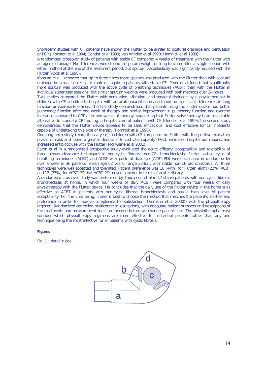Short-term studies with CF patients have shown the Flutter to be similar to postural drainage and percussion or PEP ( Konstan *et al* 1994; Gondor *et al* 1999; van Winden *et al* 1998; Homnick *et al* 1998).

A randomised crossover study of patients with stable CF compared 4 weeks of treatment with the Flutter with autogenic drainage. No differences were found in sputum weight or lung function after a single session with either method at the end of the treatment period, but sputum viscoelasticity was significantly reduced with the Flutter (Apps *et al* 1998).

Konstan *et al*. reported that up to three times more sputum was produced with the Flutter than with postural drainage in similar subjects. In contrast, again in patients with stable CF, Pryor *et al* found that significantly more sputum was produced with the active cycle of breathing techniques (ACBT) than with the Flutter in individual supervised sessions, but similar sputum weights were produced with both methods over 24 hours.

Two studies compared the Flutter with percussion, vibration, and postural drainage by a physiotherapist in children with CF admitted to hospital with an acute exacerbation and found no significant differences in lung function or exercise tolerance: The first study demonstrated that patients using the Flutter device had better pulmonary function after one week of therapy and similar improvement in pulmonary function and exercise tolerance compared to CPT after two weeks of therapy, suggesting that Flutter valve therapy is an acceptable alternative to standard CPT during in hospital care of patients with CF (Gondor *et al* 1999).The second study demonstrated that the Flutter device appears to be safe, efficacious, and cost effective for CF inpatients capable of undertaking this type of therapy (Homnick *et al* 1998).

One long-term study (more than a year) in children with CF compared the Flutter with the positive expiratory pressure mask and found a greater decline in forced vital capacity (FVC), increased hospital admissions, and increased antibiotic use with the Flutter (McIlwaine *et al* 2001).

Eaton *et al* in a randomized prospective study evaluated the acute efficacy, acceptability and tolerability of three airway clearance techniques in non-cystic fibrosis (non-CF) bronchiectasis: Flutter, active cycle of breathing techniques (ACBT) and ACBT with postural drainage (ACBT-PD) were evaluated in random order over a week in 36 patients (mean age 62 years, range 33-83), with stable non-CF bronchiectasis. All three techniques were well accepted and tolerated. Patient preference was 16 (44%) for Flutter, eight (22%) ACBT and 12 (33%) for ACBT-PD, but ACBT-PD proved superior in terms of acute efficacy.

A randomised crossover study was performed by Thompson *et al* in 17 stable patients with non-cystic fibrosis bronchiectasis at home, in which four weeks of daily ACBT were compared with four weeks of daily physiotherapy with the Flutter device. He concludes that the daily use of the Flutter device in the home is as effective as ACBT in patients with non-cystic fibrosis bronchiectasis and has a high level of patient acceptability. For the time being, it seems best to choose the method that matches the patient's abilities and preference in order to improve compliance (or satisfaction (Oermann *et al* 2000)) with the physiotherapy regimen. Randomized controlled multicenter investigations, with adequate patient numbers and descriptions of the treatments and measurement tools are needed before we change patient care. The physiotherapist must consider which physiotherapy regimens are more effective for individual patients rather than any one technique being the most effective for all patients with cystic fibrosis.

#### **Figures**

Fig. 1 : detail inside

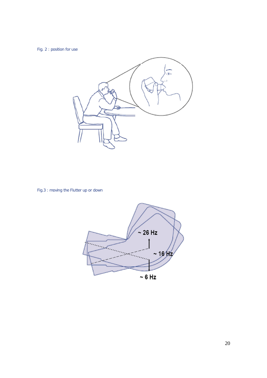Fig. 2 : position for use



Fig.3 : moving the Flutter up or down

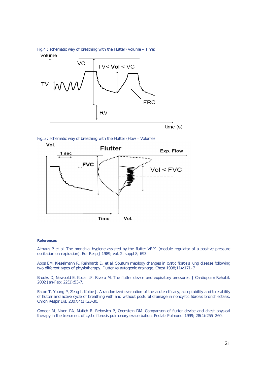

Fig.5 : schematic way of breathing with the Flutter (Flow – Volume)



#### **References**

Althaus P et al. The bronchial hygiene assisted by the flutter VRP1 (module regulator of a positive pressure oscillation on expiration). Eur Resp J 1989; vol. 2, suppl 8; 693.

Apps EM, Kieselmann R, Reinhardt D, *et al*. Sputum rheology changes in cystic fibrosis lung disease following two different types of physiotherapy. Flutter vs autogenic drainage. Chest 1998;114:171–7

Brooks D, Newbold E, Kozar LF, Rivera M. The flutter device and expiratory pressures. J Cardiopulm Rehabil. 2002 Jan-Feb; 22(1):53-7.

Eaton T, Young P, Zeng I, Kolbe J. A randomized evaluation of the acute efficacy, acceptability and tolerability of flutter and active cycle of breathing with and without postural drainage in noncystic fibrosis bronchiectasis. Chron Respir Dis. 2007;4(1):23-30.

Gondor M, Nixon PA, Mutich R, Rebovich P, Orenstein DM. Comparison of flutter device and chest physical therapy in the treatment of cystic fibrosis pulmonary exacerbation. Pediatr Pulmonol 1999; 28(4):255–260.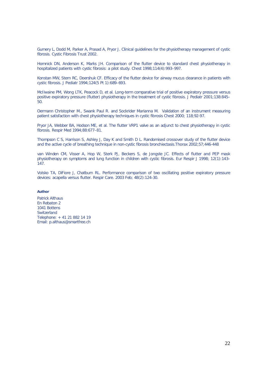Gumery L, Dodd M, Parker A, Prasad A, Pryor J. Clinical guidelines for the physiotherapy management of cystic fibrosis. Cystic Fibrosis Trust 2002.

Homnick DN, Anderson K, Marks JH. Comparison of the flutter device to standard chest physiotherapy in hospitalized patients with cystic fibrosis: a pilot study. Chest 1998;114(4):993–997.

Konstan MW, Stern RC, Doershuk CF. Efficacy of the flutter device for airway mucus clearance in patients with cystic fibrosis. J Pediatr 1994;124(5 Pt 1):689–693.

McIlwaine PM, Wong LTK, Peacock D, *et al*. Long-term comparative trial of positive expiratory pressure versus positive expiratory pressure (flutter) physiotherapy in the treatment of cystic fibrosis. J Pediatr 2001;138:845–  $50<sup>°</sup>$ 

Oermann Christopher M., Swank Paul R. and Sockrider Marianna M. Validation of an instrument measuring patient satisfaction with chest physiotherapy techniques in cystic fibrosis Chest 2000; 118;92-97.

Pryor JA, Webber BA, Hodson ME, *et al*. The flutter VRP1 valve as an adjunct to chest physiotherapy in cystic fibrosis. Respir Med 1994;88:677–81.

Thompson C S, Harrison S, Ashley J, Day K and Smith D L. Randomised crossover study of the flutter device and the active cycle of breathing technique in non-cystic fibrosis bronchiectasis.Thorax 2002;57;446-448

van Winden CM, Visser A, Hop W, Sterk PJ, Beckers S, de Jongste JC. Effects of flutter and PEP mask physiotherapy on symptoms and lung function in children with cystic fibrosis. Eur Respir J 1998; 12(1):143– 147.

Volsko TA, DiFiore J, Chatburn RL. Performance comparison of two oscillating positive expiratory pressure devices: acapella versus flutter. Respir Care. 2003 Feb; 48(2):124-30.

#### **Author**

Patrick Althaus En Rebaton 2 1041 Bottens **Switzerland** Telephone: + 41 21 882 14 19 Email: p.althaus@smartfree.ch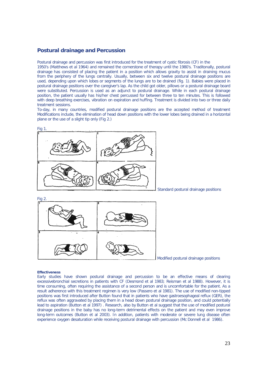#### **Postural drainage and Percussion**

Postural drainage and percussion was first introduced for the treatment of cystic fibrosis (CF) in the

1950's (Matthews *et al* 1964) and remained the cornerstone of therapy until the 1980's. Traditonally, postural drainage has consisted of placing the patient in a position which allows gravity to assist in draining mucus from the periphery of the lungs centrally. Usually, between six and twelve postural drainage positions are used, depending upon which lobes or segments of the lungs are to be drained (fig. 1). Babies were placed in postural drainage positions over the caregiver's lap. As the child got older, pillows or a postural drainage board were substituted. Percussion is used as an adjunct to postural drainage. While in each postural drainage position, the patient usually has his/her chest percussed for between three to ten minutes. This is followed with deep breathing exercises, vibration on expiration and huffing. Treatment is divided into two or three daily treatment sessions.

To-day, in many countries, modified postural drainage positions are the accepted method of treatment Modifications include, the elimination of head down positions with the lower lobes being drained in a horizontal plane or the use of a slight tip only (Fig 2.)



Standard postural drainage positions



Modified postural drainage positions

#### **Effectiveness**

Early studies have shown postural drainage and percussion to be an effective means of clearing excessivebronchial secretions in patients with CF (Desmond *et al* 1983; Reisman *et al* 1988). However, it is time consuming, often requiring the assistance of a second person and is uncomfortable for the patient. As a result adherence with this treatment regimen is very low (Passero *et al* 1981). The use of modified non-tipped positions was first introduced after Button found that in patients who have gastroesophageal reflux (GER), the reflux was often aggravated by placing them in a head down postural drainage position, and could potentially lead to aspiration (Button *et al* 1997) . Research, also by Button *et al* suggest that the use of modified postural drainage positions in the baby has no long-term detrimental effects on the patient and may even improve long-term outcomes (Button *et al* 2003). In addition, patients with moderate or severe lung disease often experience oxygen desaturation while receiving postural drainage with percussion (Mc Donnell *et al* 1986).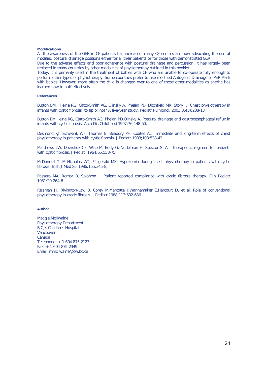#### **Modifications**

As the awareness of the GER in CF patients has increased, many CF centres are now advocating the use of modified postural drainage positions either for all their patients or for those with demonstrated GER.

Due to the adverse effects and poor adherence with postural drainage and percussion, it has largely been replaced in many countries by other modalities of physiotherapy outlined in this booklet.

Today, it is primarily used in the treatment of babies with CF who are unable to co-operate fully enough to perform other types of physiotherapy. Some countries prefer to use modified Autogenic Drainage or PEP Mask with babies. However, more often the child is changed over to one of these other modalities as she/he has learned how to huff effectively.

#### **References**

Button BM, Heine RG, Catto-Smith AG, Olinsky A, Phelan PD, Ditchfield MR, Story I. Chest physiotherapy in infants with cystic fibrosis: to tip or not? A five-year study**.** Pediatr Pulmonol. 2003;35(3):208-13.

Button BM,Heine RG, Catto-Smith AG, Phelan PD,Olinsky A. Postural drainage and gastrooesophageal reflux in infants with cystic fibrosis. Arch Dis Childhood 1997;76:148-50.

Desmond KJ, Schwenk WF, Thomas E, Beaudry PH, Coates AL. Immediate and long-term effects of chest physiotherapy in patients with cystic fibrosis. J Pediatr 1983;103:538-42.

Matthews LW, Doershuk CF, Wise M, Eddy G, Nudelman H, Spector S. A – therapeutic regimen for patients with cystic fibrosis. J Pediatr 1964;65:558-75.

McDonnell T, McNicholas WT, Fitzgerald MX. Hypoxemia during chest physiotherapy in patients with cystic fibrosis. Irish J Med Sci 1986;155:345-8.

Passero MA, Remor B, Salomon J. Patient reported compliance with cystic fibrosis therapy. Clin Pediatr 1981;20:264-6.

Reisman JJ, Rivington-Law B, Corey M,Marcotte J,Wannamaker E,Harcourt D, et al. Role of conventional physiotherapy in cystic fibrosis. J Pediatr 1988;113:632-636.

#### **Author**

Maggie McIlwaine Physiotherapy Department B.C,'s Childrens Hospital Vancouver Canada Telephone: + 1 604 875 2123 Fax: + 1 604 875 2349 Email: mmcilwaine@cw.bc.ca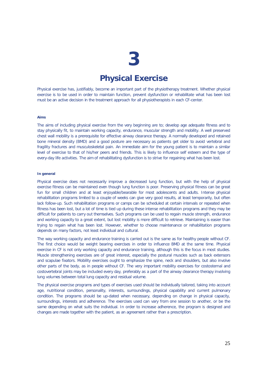## **Physical Exercise**

Physical exercise has, justifiably, become an important part of the physiotherapy treatment. Whether physical exercise is to be used in order to maintain function, prevent dysfunction or rehabilitate what has been lost must be an active decision in the treatment approach for all physiotherapists in each CF-center.

#### **Aims**

The aims of including physical exercise from the very beginning are to; develop age adequate fitness and to stay physically fit, to maintain working capacity, endurance, muscular strength and mobility. A well preserved chest wall mobility is a prerequisite for effective airway clearance therapy. A normally developed and retained bone mineral density (BMD) and a good posture are necessary as patients get older to avoid vertebral and fragility fractures and musculoskeletal pain. An immediate aim for the young patient is to maintain a similar level of exercise to that of his/her peers and friends. This is likely to influence self esteem and the type of every-day life activities. The aim of rehabilitating dysfunction is to strive for regaining what has been lost.

#### **In general**

Physical exercise does not necessarily improve a decreased lung function, but with the help of physical exercise fitness can be maintained even though lung function is poor. Preserving physical fitness can be great fun for small children and at least enjoyable/bearable for most adolescents and adults. Intense physical rehabilitation programs limited to a couple of weeks can give very good results, at least temporarily, but often lack follow-up. Such rehabilitation programs or camps can be scheduled at certain intervals or repeated when fitness has been lost, but a lot of time is tied up during these intense rehabilitation programs and they may be difficult for patients to carry out themselves. Such programs can be used to regain muscle strength, endurance and working capacity to a great extent, but lost mobility is more difficult to retrieve. Maintaining is easier than trying to regain what has been lost. However, whether to choose maintenance or rehabilitation programs depends on many factors, not least individual and cultural.

The way working capacity and endurance training is carried out is the same as for healthy people without CF. The first choice would be weight bearing exercises in order to influence BMD at the same time. Physical exercise in CF is not only working capacity and endurance training, although this is the focus in most studies. Muscle strengthening exercises are of great interest, especially the postural muscles such as back extensors and scapulae fixators. Mobility exercises ought to emphasize the spine, neck and shoulders, but also involve other parts of the body, as in people without CF. The very important mobility exercises for costosternal and costovertebral joints may be included every day, preferably as a part of the airway clearance therapy involving lung volumes between total lung capacity and residual volume.

The physical exercise programs and types of exercises used should be individually tailored, taking into account age, nutritional condition, personality, interests, surroundings, physical capability and current pulmonary condition. The programs should be up-dated when necessary, depending on change in physical capacity, surroundings, interests and adherence. The exercises used can vary from one session to another, or be the same depending on what suits the individual. In order to increase adherence, the program is designed and changes are made together with the patient, as an agreement rather than a prescription.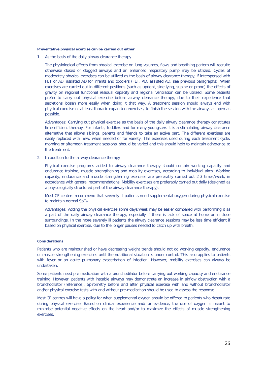#### **Preventative physical exercise can be carried out either**

1. As the basis of the daily airway clearance therapy

The physiological effects from physical exercise on lung volumes, flows and breathing pattern will recruite otherwise closed or clogged airways and an enhanced respiratory pump may be utilized. Cycles of moderately physical exercises can be utilized as the basis of airway clearance therapy, if interspersed with FET or AD, assisted AD for infants and toddlers (FET, AD, assisted AD, see previous paragraphs). When exercises are carried out in different positions (such as upright, side lying, supine or prone) the effects of gravity on regional functional residual capacity and regional ventilation can be utilized. Some patients prefer to carry out physical exercise before airway clearance therapy, due to their experience that secretions loosen more easily when doing it that way. A treatment session should always end with physical exercise or at least thoracic expansion exercises, to finish the session with the airways as open as possible.

Advantages: Carrying out physical exercise as the basis of the daily airway clearance therapy constitutes time efficient therapy. For infants, toddlers and for many youngsters it is a stimulating airway clearance alternative that allows siblings, parents and friends to take an active part. The different exercises are easily replaced with new, when needed or for variety. The exercises used during each treatment cycle, morning or afternoon treatment sessions, should be varied and this should help to maintain adherence to the treatment.

2. In addition to the airway clearance therapy

Physical exercise programs added to airway clearance therapy should contain working capacity and endurance training, muscle strengthening and mobility exercises, according to individual aims. Working capacity, endurance and muscle strengthening exercises are preferably carried out 2-3 times/week, in accordance with general recommendations. Mobility exercises are preferably carried out daily (designed as a physiologically structured part of the airway clearance therapy).

Most CF-centers recommend that severely ill patients need supplemental oxygen during physical exercise to maintain normal SpO<sub>2</sub>.

Advantages: Adding the physical exercise some days/week may be easier compared with performing it as a part of the daily airway clearance therapy, especially if there is lack of space at home or in close surroundings. In the more severely ill patients the airway clearance sessions may be less time efficient if based on physical exercise, due to the longer pauses needed to catch up with breath.

#### **Considerations**

Patients who are malnourished or have decreasing weight trends should not do working capacity, endurance or muscle strengthening exercises until the nutritional situation is under control. This also applies to patients with fever or an acute pulmonary exacerbation of infection. However, mobility exercises can always be undertaken.

Some patients need pre-medication with a bronchodilator before carrying out working capacity and endurance training. However, patients with instable airways may demonstrate an increase in airflow obstruction with a bronchodilator (reference). Spirometry before and after physical exercise with and without bronchodilator and/or physical exercise tests with and without pre-medication should be used to assess the response.

Most CF centres will have a policy for when supplemental oxygen should be offered to patients who desaturate during physical exercise. Based on clinical experience and/ or evidence, the use of oxygen is meant to minimise potential negative effects on the heart and/or to maximize the effects of muscle strengthening exercises.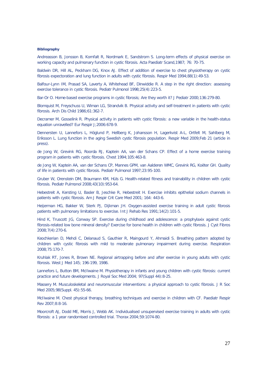#### **Bibliography**

Andreasson B, Jonsson B, Kornfalt R, Nordmark E, Sandstrom S. Long-term effects of physical exercise on working capacity and pulmonary function in cystic fibrosis. Acta Paediatr Scand,1987; 76: 70-75.

Baldwin DR, Hill AL, Peckham DG, Knox AJ. Effect of addition of exercise to chest physiotherapy on cystic fibrosis expectoration and lung function in adults with cystic fibrosis. Respir Med 1994;88(1):49-53.

Balfour-Lynn IM, Prasad SA, Laverty A, Whitehead BF, Dinwiddie R. A step in the right direction: assessing exercise tolerance in cystic fibrosis. Pediatr Pulmonol 1998;25(4):223-5.

Bar-Or O. Home-based exercise programs in cystic fibrosis; Are they worth it? J Pediatr 2000;136:279-80.

Blomquist M, Freyschuss U, Wiman LG, Strandvik B. Physical activity and self-treatment in patients with cystic fibrosis. Arch Dis Child 1986;61:362-7.

Decramer M, Gosselink R. Physical activity in patients with cystic fibrosis: a new variable in the health-status equation unravelled? Eur Respir J;2006:678-9.

Dennersten U, Lannefors L, Höglund P, Hellberg K, Johansson H, Lagerkvist A-L, Ortfelt M, Sahlberg M, Eriksson L. Lung function in the aging Swedish cystic fibrosis population. Respir Med 2009;Feb 21 (article in press).

de Jong W, Grevink RG, Roorda RJ, Kaptein AA, van der Schans CP. Effect of a home exercise training program in patients with cystic fibrosis. Chest 1994;105:463-8.

de Jong W, Kaptein AA, van der Schans CP, Mannes GPM, van Aalderen WMC, Grevink RG, Koëter GH. Quality of life in patients with cystic fibrosis. Pediatr Pulmonol 1997;23:95-100.

Gruber W, Orenstein DM, Braumann KM, Hüls G. Health-related fitness and trainability in children with cystic fibrosis. Pediatr Pulmonol 2008;43(10):953-64.

Hebestreit A, Kersting U, Basler B, Jeschke R, Hebestreit H. Exercise inhibits epithelial sodium channels in patients with cystic fibrosis. Am J Respir Crit Care Med 2001; 164: 443-6.

Heijerman HG, Bakker W, Sterk PJ, Dijkman JH. Oxygen-assisted exercise training in adult cystic fibrosis patients with pulmonary limitations to exercise. Int J Rehab Res 1991;14(2):101-5.

Hind K, Truscott JG, Conway SP. Exercise during childhood and adolescence: a prophylaxix against cystic fibrosis-related low bone mineral density? Exercise for bone health in children with cystic fibrosis. J Cyst Fibros 2008;7(4):270-6.

Keochkerian D, Mehdi C, Delanaud S, Gauthier R, Maingourd Y, Ahmaidi S. Breathing pattern adopted by children with cystic fibrosis with mild to moderate pulmonary impairment during exercise. Respiration 2008;75:170-7.

Kruhlak RT, Jones R, Brown NE. Regional airtrapping before and after exercise in young adults with cystic fibrosis. West J Med 145; 196-199, 1986.

Lannefors L, Button BM, McIlwaine M. Physiotherapy in infants and young children with cystic fibrosis: current practice and future developments. J Royal Soc Med 2004; 97(Suppl 44):8-25.

Massery M. Musculoskeletal and neuromuscular interventions: a physical approach to cystic fibrosis. J R Soc Med 2005;98(Suppl. 45):55-66.

McIlwaine M. Chest physical therapy, breathing techniques and exercise in children with CF. Paediatr Respir Rev 2007;8:8-16.

Moorcroft AJ, Dodd ME, Morris J, Webb AK. Individualised unsupervised exercise training in adults with cystic fibrosis: a 1 year randomised controlled trial. Thorax 2004;59:1074-80.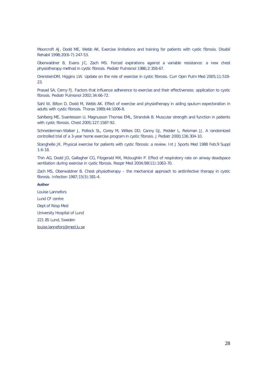Moorcroft AJ, Dodd ME, Webb AK. Exercise limitations and training for patients with cystic fibrosis. Disabil Rehabil 1998;20(6-7):247-53.

Oberwaldner B, Evans JC, Zach MS. Forced expirations against a variable resistance: a new chest physiotherapy method in cystic fibrosis. Pediatr Pulmonol 1986;2:358-67.

OrensteinDM, Higgins LW. Update on the role of exercise in cystic fibrosis. Curr Opin Pulm Med 2005;11:519- 23.

Prasad SA, Cerny FJ. Factors that influence adherence to exercise and their effectiveness: application to cystic fibrosis. Pediatr Pulmonol 2002;34:66-72.

Sahl W, Bilton D, Dodd M, Webb AK. Effect of exercise and physiotherapy in aiding sputum expectoration in adults with cystic fibrosis. Thorax 1989;44:1006-8.

Sahlberg ME, Svantesson U, Magnusson Thomas EML, Strandvik B. Muscular strength and function in patients with cystic fibrosis. Chest 2005;127:1587-92.

Schneiderman-Walker J, Pollock SL, Corey M, Wilkes DD, Canny GJ, Pedder L, Reisman JJ. A randomized controlled trial of a 3-year home exercise program in cystic fibrosis. J Pediatr 2000;136:304-10.

Stanghelle JK. Physical exercise for patients with cystic fibrosis: a review. Int J Sports Med 1988 Feb;9 Suppl 1:6-18.

Thin AG, Dodd JD, Gallagher CG, Fitzgerald MX, Mcloughlin P. Effect of respiratory rate on airway deadspace ventilation during exercise in cystic fibrosis. Respir Med 2004;98(11):1063-70.

Zach MS, Oberwaldner B. Chest physiotherapy – the mechanical approach to antiinfective therapy in cystic fibrosis. Infection 1987;15(5):381-4.

#### **Author**

Louise Lannefors Lund CF centre Dept of Resp Med University Hospital of Lund 221 85 Lund, Sweden louise.lannefors@med.lu.se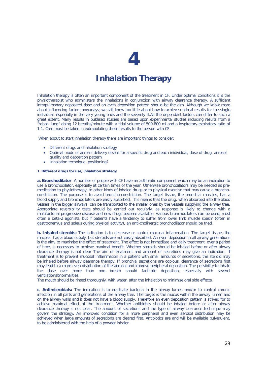## **Inhalation Therapy**

Inhalation therapy is often an important component of the treatment in CF. Under optimal conditions it is the physiotherapist who administers the inhalations in conjunction with airway clearance therapy. A sufficient intrapulmonary deposited dose and an even deposition pattern should be the aim. Although we know more about influencing factors nowadays, we still know too little about how to achieve optimal results for the single individual, especially in the very young ones and the severely ill.All the dependent factors can differ to such a great extent. Many results in publised studies are based upon experimental studies including results from a "robot- lung" doing 12 breaths/minute with a tidal volume of 500-800 ml and a inspiratory-expiratory ratio of 1:1. Care must be taken in extrapolating these results to the person with CF.

When about to start inhalation therapy there are important things to consider:

- Different drugs and inhalation strategy
- Optimal mode of aerosol delivery device for a specific drug and each inidividual, dose of drug, aerosol quality and deposition pattern
- Inhalation technique, positioning?

#### **1. Different drugs for use, inhalation strategy**

**a. Bronchodilator**: A number of people with CF have an asthmatic component which may be an indication to use a bronchodilator, especially at certain times of the year. Otherwise bronchodilators may be needed as premedication to physiotherapy, to other kinds of inhaled drugs or to physical exercise that may cause a bronchoconstriction. The purpose is to avoid broncho-constriction. The target tissue, the bronchial muscles, has a blood supply and bronchodilators are easily absorbed. This means that the drug, when absorbed into the blood vessels in the bigger airways, can be transported to the smaller ones by the vessels supplying the airway tree. Appropriate reversibility tests should be carried out regularly, as response is likely to change with a multifactorial progressive disease and new drugs become available. Various bronchodilators can be used, most often a beta-2 agonists, but if patients have a tendency to suffer from lower limb muscle spasm (often in gastrocnemius and soleus during physical activity), an anti-cholinergic bronchodilator should be tried.

**b. Inhaled steroids:** The indication is to decrease or control mucosal inflammation. The target tissue, the mucosa, has a blood supply, but steroids are not easily absorbed. An even deposition in all airway generations is the aim, to maximise the effect of treatment. The effect is not immediate and daily treatment, over a period of time, is necessary to achieve maximal benefit. Whether steroids should be inhaled before or after airway clearance therapy is not clear The aim of treatment and amount of secretions may give an indication. If treatment is to prevent mucosal inflammation in a patient with small amounts of secretions, the steroid may be inhaled before airway clearance therapy. If bronchial secretions are copious, clearance of secretions first may lead to a more even distribution of the aerosol and improve peripheral deposition. The possibility to inhale the dose over more than one breath should facilitate deposition, especially with severel ventilationabnormalities.

The mouth should be rinsed thoroughly, with water, after the inhalation to minimise oral side effects.

**c. Antimicrobials:** The indication is to eradicate bacteria in the airway lumen and/or to control chronic infection in all parts and generations of the airway tree. The target is the mucus within the airway lumen and on the airway walls and it does not have a blood supply. Therefore an even deposition pattern is strived for to achieve maximal effect of the treatment. Whether antibiotics should be inhaled before or after airway clearance therapy is not clear. The amount of secretions and the type of airway clearance technique may govern the strategy. An improved condition for a more peripheral and even aerosol distribution may be achieved when large amounts of secretions are cleared first. Antibiotics are and will be available pulverulent, to be administered with the help of a powder inhaler.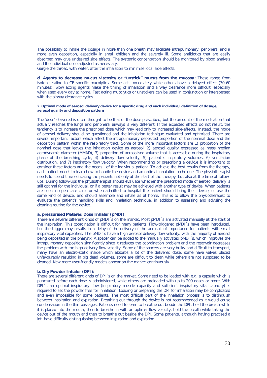The possibility to inhale the dosage in more than one breath may facilitate intrapulmonary, peripheral and a more even deposition, especially in small children and the severely ill. Some antibiotics that are easily absorbed may give undesired side effects. The systemic concentration should be monitored by blood analysis and the individual dose adjusted as necessary.

Gargle the throat, with water, after the inhalation to minimise local side effects.

**d. Agents to decrease mucus viscosity or "unstick" mucus from the mucosa:** These range from isotonic saline to CF specific mucolytics. Some act immediately while others have a delayed effect (30-60 minutes). Slow acting agents make the timing of inhalation and airway clearance more difficult, especially when used every day at home. Fast acting mucolytics or unstickers can be used in conjunction or interspersed with the airway clearance cycles.

#### **2. Optimal mode of aerosol delivery device for a specific drug and each individua,l definition of dosage, aerosol quality and deposition pattern**

The 'dose' delivered is often thought to be that of the dose prescribed, but the amount of the medication that actually reaches the lungs and peripheral airways is very different. If the expected effects do not result, the tendency is to increase the prescribed dose which may lead only to increased side-effects. Instead, the mode of aerosol delivery should be questioned and the inhalation technique evaluated and optimised. There are several important factors which affect the intrapulmonary deposited proportion of the nominal dose and the deposition pattern within the respiratory tract. Some of the more important factors are 1) proportion of the nominal dose that leaves the inhalation device as aerosol, 2) aerosol quality expressed as mass median aerodynamic diameter (MMAD), 3) proportion of aerosolised volume that is accessible during the inspiratory phase of the breathing cycle, 4) delivery flow velocity, 5) patient´s inspiratory volumes, 6) ventilation distribution, and 7) inspiratory flow velocity. When recommending or prescribing a devic,e it is important to consider these factors and the needs of the individual patient. To achieve the best results from the therapy, each patient needs to learn how to handle the device and an optimal inhalation technique. The physiotherapist needs to spend time educating the patients not only at the start of the therapy, but also at the time of followups. During follow-ups the physiotherapist should evaluate whether the prescribed mode of aerosol delivery is still optimal for the individual, or if a better result may be achieved with another type of device. When patients are seen in open care clinic or when admitted to hospital the patient should bring their device, or use the same kind of device, and should assemble and inhale as at home. This is to allow the physiotherapist to evaluate the patient's handling skills and inhalation technique, in addition to assessing and advising the cleaning routine for the device.

#### **a. pressurised Metered Dose Inhaler (pMDI)**:

There are several different kinds of pMDI´s on the market. Most pMDI´s are activated manually at the start of the inspiration. This coordination is difficult for many patients. Flow-triggered pMDI´s have been introduced, but the trigger may results in a delay of the delivery of the aerosol, of importance for patients with small inspiratory vital capacities. The pMDI´s have a high aerosol delivery flow velocity, with the majority of aerosol being deposited in the pharynx. A spacer can be added to the manually activated pMDI´s, which improves the intrapulmonary deposition significantly since it reduces the coordination problem and the reservoir decreases the problem with the high delivery flow velocity. Some of the spacers are very bulky and difficult to transport, many have an electro-static inside which absorbs a lot of the delivered dose, some have valves placed unfavourably resulting in big dead volumes, some are difficult to clean while others are not supposed to be cleaned. New more user-friendly models appear on the market continuously.

#### **b. Dry Powder Inhaler (DPI):**

There are several different kinds of DPI´s on the market. Some need to be loaded with e.g. a capsule which is punctured before each dose is administered, while others are preloaded with up to 200 doses or more. With DPI´s an optimal inspiratory flow (inspiratory muscle capacity and sufficient inspiratory vital capacity) is required to set the powder free for inhalation. Loading or preparing the DPI for inhalation may be complicated and even impossible for some patients. The most difficult part of the inhalation process is to distinguish between inspiration and expiration. Breathing out through the device is not recommended as it would cause condensation in the thin passages. Patients need to learn to breathe out beside the DPI, hold the breath while it is placed into the mouth, then to breathe in with an optimal flow velocity, hold the breath while taking the device out of the mouth and then to breathe out beside the DPI. Some patients, although having practised a lot, have difficulty distinguishing between inspiration and expiration.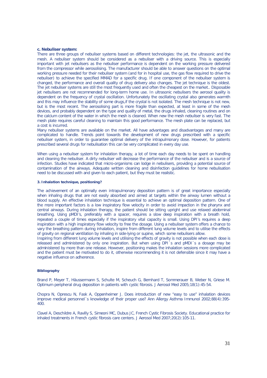#### **c. Nebuliser system:**

There are three groups of nebuliser systems based on different technologies: the jet, the ultrasonic and the mesh. A nebuliser system should be considered as a nebuliser with a driving source. This is especially important with jet nebulisers as the nebuliser performance is dependent on the working pressure delivered from the compressor while aerosolising. The manufacturer should be able to answer questions on the optimal working pressure needed for their nebuliser system (and for in hospital use, the gas flow required to drive the nebuliser) to achieve the specified MMAD for a specific drug. If one component of the nebuliser system is changed, the performance and overall quality of drug delivery also changes. The jet technique is the oldest. The jet nebuliser systems are still the most frequently used and often the cheapest on the market.. Disposable jet nebulisers are not recommended for long-term home use. In ultrasonic nebulisers the aerosol quality is dependent on the frequency of crystal oscillation. Unfortunately the oscillating crystal also generates warmth and this may influence the stability of some drugs,if the crystal is not isolated. The mesh technique is not new, but is the most recent. The aerosolising part is more fragile than expected, at least in some of the mesh devices, and probably dependent on the type and quality of metal, the drugs inhaled, cleaning routines and on the calcium content of the water in which the mesh is cleaned. When new the mesh nebuliser is very fast. The mesh plate requires careful cleaning to maintain this good performance. The mesh plate can be replaced, but a cost is incurred.

Many nebuliser systems are available on the market. All have advantages and disadvantages and many are complicated to handle. Trends point towards the development of new drugs prescribed with a specific nebuliser system, in order to guarantee optimal delivery of the intrapulmonary dose. However, for patients prescribed several drugs for nebulisation this can be very complicated in every day use.

When using a nebuliser system for inhalation therapy, a lot of time each day needs to be spent on handling and cleaning the nebuliser. A dirty nebuliser will decrease the performance of the nebuliser and is a source of infection. Studies have indicated that micro-organisms can lodge in nebulisers, providing a potential source of contamination of the airways. Adequate written cleaning and disinfection guidelines for home nebulisation need to be discussed with and given to each patient, but they must be realistic.

#### **3. Inhalation technique, positioning?**

The achievement of an optimally even intrapulmonary deposition pattern is of great importance especially when inhaling drugs that are not easily absorbed and aimed at targets within the airway lumen without a blood supply. An effective inhalation technique is essential to achieve an optimal deposition pattern. One of the more important factors is a low inspiratory flow velocity in order to avoid impaction in the pharynx and central airways. During inhalation therapy, the patient should be sitting upright and use relaxed abdominal breathing. Using pMDI's, preferably with a spacer, requires a slow deep inspiration with a breath hold, repeated a couple of times especially if the inspiratory vital capacity is small. Using DPI's requires a deep inspiration with a high inspiratory flow velocity to free the dosage. Using a nebuliser system offers a chance to vary the breathing pattern during inhalation, inspire from different lung volume levels and to utilise the effects of gravity on regional ventilation by inhaling in side-lying or supine, which some nebulisers allow.

Inspiring from different lung volume levels and utilising the effects of gravity is not possible when each dose is released and administered by only one inspiration. But when using DPI´s and pMDI´s a dosage may be administered by more than one release. However, positioning makes the inhalation sessions more complicated and the patient must be motivated to do it, otherwise recommending it is not defensible since it may have a negative influence on adherence.

#### **Bibliography**

Brand P, Meyer T, Häussermann S, Schulte M, Scheuch G, Bernhard T, Sommerauer B, Weber N, Griese M. Optimum peripheral drug deposition in patients with cystic fibrosis. J Aerosol Med 2005;18(1):45-54.

Chopra N, Oprescu N, Fask A, Oppenheimer J. Does introduction of new "easy to use" inhalation devices improve medical personnel´s knowledge of their proper use? Ann Allergy Asthma Immunol 2002;88(4):395- 400.

Clavel A, Deschildre A, Ravilly S, Simeoni MC, Dubus JC, French Cystic Fibrosis Society. Educational practice for inhaled treatments in French cystic fibrosis care centers. J Aerosol Med 2007;20(2):105-11.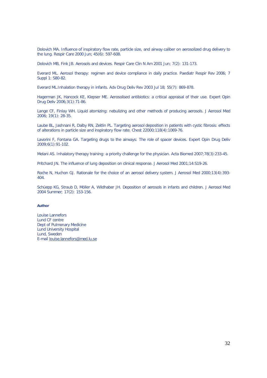Dolovich MA. Influence of inspiratory flow rate, particle size, and airway caliber on aerosolized drug delivery to the lung. Respir Care 2000 Jun; 45(6): 597-608.

Dolovich MB, Fink JB. Aerosols and devices. Respir Care Clin N Am 2001 Jun; 7(2): 131-173.

Everard ML. Aerosol therapy: regimen and device compliance in daily practice. Paediatr Respir Rev 2006; 7 Suppl 1: S80-82.

Everard ML.Inhalation therapy in infants. Adv Drug Deliv Rev 2003 Jul 18; 55(7): 869-878.

Hagerman JK, Hancock KE, Klepser ME. Aerosolised antibiotics: a critical appraisal of their use. Expert Opin Drug Deliv 2006;3(1):71-86.

Lange CF, Finlay WH. Liquid atomizing: nebulizing and other methods of producing aerosols. J Aerosol Med 2006; 19(1): 28-35.

Laube BL, Jashnani R, Dalby RN, Zeitlin PL. Targeting aerosol deposition in patients with cystic fibrosis: effects of alterations in particle size and inspiratory flow rate. Chest 22000;118(4):1069-76.

Lavorini F, Fontana GA. Targeting drugs to the airways: The role of spacer devices. Expert Opin Drug Deliv 2009;6(1):91-102.

Melani AS. Inhalatory therapy training: a priority challenge for the physician. Acta Biomed 2007;78(3):233-45.

Pritchard JN. The influence of lung deposition on clinical response. J Aerosol Med 2001;14:S19-26.

Roche N, Huchon GJ. Rationale for the choice of an aerosol delivery system. J Aerosol Med 2000;13(4):393-404.

Schüepp KG, Straub D, Möller A, Wildhaber JH. Deposition of aerosols in infants and children. J Aerosol Med 2004 Summer; 17(2): 153-156.

#### **Author**

Louise Lannefors Lund CF centre Dept of Pulmonary Medicine Lund University Hospital Lund, Sweden E-mail louise.lannefors@med.lu.se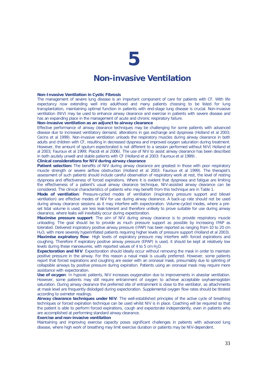### **Non-invasive Ventilation**

#### **Non-Invasive Ventilation in Cystic Fibrosis**

The management of severe lung disease is an important component of care for patients with CF. With life expectancy now extending well into adulthood and many patients choosing to be listed for lung transplantation, maintaining optimal function in patients with end-stage lung disease is crucial. Non-invasive ventilation (NIV) may be used to enhance airway clearance and exercise in patients with severe disease and has an expanding place in the management of acute and chronic respiratory failure.

#### **Non-invasive ventilation as an adjunct to airway clearance**

Effective performance of airway clearance techniques may be challenging for some patients with advanced disease due to increased ventilatory demand, alterations in gas exchange and dyspnoea (Holland *et al* 2003; Cecins *et al* 1999). Non-invasive ventilation unloads the respiratory muscles during airway clearance in both adults and children with CF, resulting in decreased dyspnea and improved oxygen saturation during treatment. However, the amount of sputum expectorated is not different to a session performed without NIV( Holland *et al* 2003; Fauroux *et al* 1999; Placidi *et al* 2006). The use of NIV to assist airway clearance has been described in both acutely unwell and stable patients with CF (Holland *et al* 2003: Fauroux *et al* 1999) .

#### *Clinical considerations for NIV during airway clearance*

**Patient selection:** The benefits of NIV during airway clearance are greatest in those with poor respiratory muscle strength or severe airflow obstruction (Holland *et al* 2003: Fauroux *et al* 1999). The therapist's assessment of such patients should include careful observation of respiratory work at rest, the level of resting dyspnoea and effectiveness of forced expirations. Where it is evident that dyspnoea and fatigue are limiting the effectiveness of a patient's usual airway clearance technique, NIV-assisted airway clearance can be considered. The clinical characteristics of patients who may benefit from this technique are in Table 1.

**Mode of ventilation**: Pressure-cycled modes of ventilation (inspiratory pressure support and bilevel ventilation) are effective modes of NIV for use during airway clearance. A back-up rate should not be used during airway clearance sessions as it may interfere with expectoration. Volume-cycled modes, where a preset tidal volume is used, are less leak-tolerant and therefore unlikely to prove suitable for use during airway clearance, where leaks will inevitably occur during expectoration.

**Maximise pressure support**: The aim of NIV during airway clearance is to provide respiratory muscle unloading. The goal should be to provide as much pressure support as possible by increasing IPAP as tolerated. Delivered inspiratory positive airway pressure (IPAP) has been reported as ranging from 10 to 20 cm H2O, with more severely hyperinflated patients requiring higher levels of pressure support (Holland *et al* 2003). **Maximise expiratory flow**: High levels of expiratory pressure may interfere with forced expirations and coughing. Therefore if expiratory positive airway pressure (EPAP) is used, it should be kept at relatively low levels during these manoeuvres, with reported values of 4 to 5 cm  $H_2O$ .

**Expectoration and NIV**: Expectoration should ideally occur without removing the mask in order to maintain positive pressure in the airway. For this reason a nasal mask is usually preferred. However, some patients report that forced expirations and coughing are easier with an oronasal mask, presumably due to splinting of collapsible airways by positive pressure during expiration. Patients using an oronasal mask may require more assistance with expectoration.

**Use of oxygen**: In hypoxic patients, NIV increases oxygenation due to improvements in alveolar ventilation. However, some patients may still require entrainment of oxygen to achieve acceptable oxyhaemoglobin saturation. During airway clearance the preferred site of entrainment is close to the ventilator, as attachments at mask level are frequently dislodged during expectoration. Supplemental oxygen flow rates should be titrated according to oximeter readings.

**Airway clearance techniques under NIV**: The well-established principles of the active cycle of breathing techniques or forced expiration technique can be used whilst NIV is in place. Coaching will be required so that the patient is able to perform forced expirations, cough and expectorate independently, even in patients who are accomplished at performing standard airway clearance.

#### **Exercise and non-invasive ventilation**

Maintaining and improving exercise capacity poses significant challenges in patients with advanced lung disease, where high work of breathing may limit exercise duration or patients may be NIV-dependent.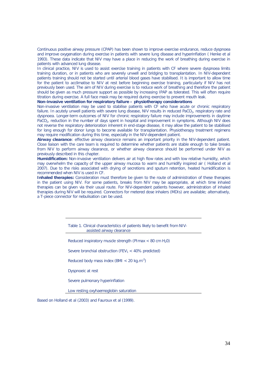Continuous positive airway pressure (CPAP) has been shown to improve exercise endurance, reduce dyspnoea and improve oxygenation during exercise in patients with severe lung disease and hyperinflation ( Henke *et al*  1993). These data indicate that NIV may have a place in reducing the work of breathing during exercise in patients with advanced lung disease.

In clinical practice, NIV is used to assist exercise training in patients with CF where severe dyspnoea limits training duration, or in patients who are severely unwell and bridging to transplantation. In NIV-dependent patients training should not be started until arterial blood gases have stabilised. It is important to allow time for the patient to acclimatise to NIV at rest before beginning exercise training, particularly if NIV has not previously been used. The aim of NIV during exercise is to reduce work of breathing and therefore the patient should be given as much pressure support as possible by increasing IPAP as tolerated. This will often require titration during exercise. A full face mask may be required during exercise to prevent mouth leak.

**Non-invasive ventilation for respiratory failure – physiotherapy considerations**

Non-invasive ventilation may be used to stabilise patients with CF who have acute or chronic respiratory failure. In acutely unwell patients with severe lung disease, NIV results in reduced PaCO<sub>2</sub>, respiratory rate and dyspnoea. Longer-term outcomes of NIV for chronic respiratory failure may include improvements in daytime PaCO<sub>2</sub>, reduction in the number of days spent in hospital and improvement in symptoms. Although NIV does not reverse the respiratory deterioration inherent in end-stage disease, it may allow the patient to be stabilised for long enough for donor lungs to become available for transplantation. Physiotherapy treatment regimens may require modification during this time, especially in the NIV-dependent patient.

*Airway clearance:* effective airway clearance remains an important priority in the NIV-dependent patient. Close liaison with the care team is required to determine whether patients are stable enough to take breaks from NIV to perform airway clearance, or whether airway clearance should be performed under NIV as previously described in this chapter.

*Humidification:* Non-invasive ventilation delivers air at high flow rates and with low relative humidity, which may overwhelm the capacity of the upper airway mucosa to warm and humidify inspired air ( Holland *et al*  2007). Due to the risks associated with drying of secretions and sputum retention, heated humidification is recommended when NIV is used in CF.

**Inhaled therapies:** Consideration must therefore be given to the route of administration of these therapies in the patient using NIV. For some patients, breaks from NIV may be appropriate, at which time inhaled therapies can be given via their usual route. For NIV-dependent patients however, administration of inhaled therapies during NIV will be required. Connectors for metered dose inhalers (MDIs) are available; alternatively, a T-piece connector for nebulisation can be used.

> Table 1. Clinical characteristics of patients likely to benefit from NIVassisted airway clearance

Reduced inspiratory muscle strength (PImax  $<$  80 cm H<sub>2</sub>0)

Severe bronchial obstruction (FEV<sub>1</sub>  $<$  40% predicted)

Reduced body mass index (BMI < 20 kg.m<sup>-2</sup>)

Dyspnoeic at rest

Severe pulmonary hyperinflation

Low resting oxyhaemoglobin saturation

Based on Holland et al (2003) and Fauroux et al (1999).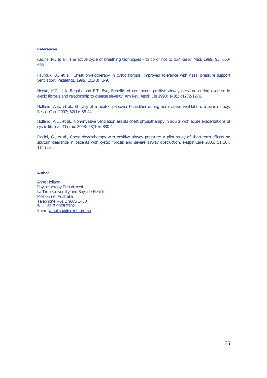#### **References**

Cecins, N., et al., The active cycle of breathing techniques - to tip or not to tip? Respir Med, 1999; 93: 660- 665.

Fauroux, B., et al., Chest physiotherapy in cystic fibrosis: improved tolerance with nasal pressure support ventilation. Pediatrics, 1999; 103(3): 1-9.

Henke, K.G., J.A. Regnis, and P.T. Bye, Benefits of continuous positive airway pressure during exercise in cystic fibrosis and relationship to disease severity. Am Rev Respir Dis 1993; 148(5):1272-1276.

Holland, A.E., et al., Efficacy of a heated passover humidifier during noninvasive ventilation: a bench study. Respir Care 2007; 52(1): 38-44.

Holland, A.E., et al., Non-invasive ventilation assists chest physiotherapy in adults with acute exacerbations of cystic fibrosis. Thorax, 2003; 58(10): 880-4.

Placidi, G., et al., Chest physiotherapy with positive airway pressure: a pilot study of short-term effects on sputum clearance in patients with cystic fibrosis and severe airway obstruction. Respir Care 2006; 51(10): 1145-53.

#### **Author**

Anne Holland Physiotherapy Department La TrobeUniversity and Bayside Health Melbourne, Australia Telephone +61 3 9076 3450 Fax +61 3 9076 2702 Email: a.holland@alfred.org.au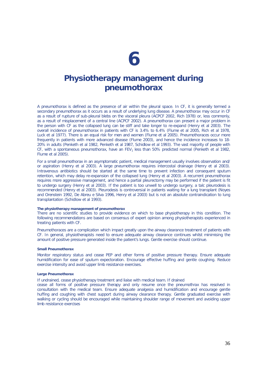### **Physiotherapy management during pneumothorax**

A pneumothorax is defined as the presence of air within the pleural space. In CF, it is generally termed a secondary pneumothorax as it occurs as a result of underlying lung disease. A pneumothorax may occur in CF as a result of rupture of sub-pleural blebs on the visceral pleura (ACPCF 2002, Rich 1978) or, less commonly, as a result of misplacement of a central line (ACPCF 2002). A pneumothorax can present a major problem in the person with CF as the collapsed lung can be stiff and take longer to re-expand (Henry *et al* 2003). The overall incidence of pneumothorax in patients with CF is 3.4% to 6.4% (Flume *et al* 2005, Rich *et al* 1978, Luck *et al* 1977). There is an equal risk for men and women (Flume *et al* 2005). Pneumothoraces occur more frequently in patients with more advanced disease (Flume 2003), and hence the incidence increases to 18- 20% in adults (Penketh *et al* 1982, Penketh *et al* 1987, Schidlow *et al* 1993). The vast majority of people with CF, with a spontaneous pneumothorax, have an FEV<sub>1</sub> less than 50% predicted normal (Penketh *et al* 1982, Flume *et al* 2005).

For a small pneumothorax in an asymptomatic patient, medical management usually involves observation and/ or aspiration (Henry *et al* 2003). A large pneumothorax requires intercostal drainage (Henry et al 2003). Intravenous antibiotics should be started at the same time to prevent infection and consequent sputum retention, which may delay re-expansion of the collapsed lung (Henry *et al* 2003). A recurrent pneumothorax requires more aggressive management, and hence a partial pleurectomy may be performed if the patient is fit to undergo surgery (Henry *et al* 2003). If the patient is too unwell to undergo surgery, a talc pleurodesis is recommended (Henry *et al* 2003). Pleurodesis is controversial in patients waiting for a lung transplant (Noyes and Orenstein 1992, De Abreu e Silva 1996, Henry *et al* 2003) but is not an absolute contraindication to lung transplantation (Schidlow *et al* 1993).

#### **The physiotherapy management of pneumothorax**

There are no scientific studies to provide evidence on which to base physiotherapy in this condition. The following recommendations are based on consensus of expert opinion among physiotherapists experienced in treating patients with CF.

Pneumothoraces are a complication which impact greatly upon the airway clearance treatment of patients with CF. In general, physiotherapists need to ensure adequate airway clearance continues whilst minimising the amount of positive pressure generated inside the patient's lungs. Gentle exercise should continue.

#### **Small Pneumothorax**

Monitor respiratory status and cease PEP and other forms of positive pressure therapy. Ensure adequate humidification for ease of sputum expectoration. Encourage effective huffing and gentle coughing. Reduce exercise intensity and avoid upper limb resistance exercises.

#### **Large Pneumothorax**

If undrained, cease physiotherapy treatment and liaise with medical team. If drained

cease all forms of positive pressure therapy and only resume once the pneumothrax has resolved in consultation with the medical team. Ensure adequate analgesia and humidification and encourage gentle huffing and coughing with chest support during airway clearance therapy. Gentle graduated exercise with walking or cycling should be encouraged while maintaining shoulder range of movement and avoiding upper limb resistance exercises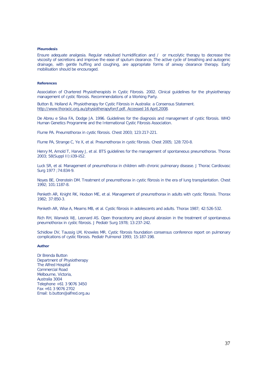#### **Pleurodesis**

Ensure adequate analgesia. Regular nebulised humidification and / or mucolytic therapy to decrease the viscosity of secretions and improve the ease of sputum clearance. The active cycle of breathing and autogenic drainage, with gentle huffing and coughing, are appropriate forms of airway clearance therapy. Early mobilisation should be encouraged.

#### **References**

Association of Chartered Physiotherapists in Cystic Fibrosis. 2002. Clinical guidelines for the physiotherapy management of cystic fibrosis. Recommendations of a Working Party.

Button B, Holland A. Physiotherapy for Cystic Fibrosis in Australia: a Consensus Statement. http://www.thoracic.org.au/physiotherapyforcf.pdf. Accessed 16 April,2008.

De Abreu e Silva FA, Dodge JA. 1996. Guidelines for the diagnosis and management of cystic fibrosis. WHO Human Genetics Programme and the International Cystic Fibrosis Association.

Flume PA. Pneumothorax in cystic fibrosis. Chest 2003; 123:217-221.

Flume PA, Strange C, Ye X, et al. Pneumothorax in cystic fibrosis. Chest 2005; 128:720-8.

Henry M, Arnold T, Harvey J, et al. BTS guidelines for the management of spontaneous pneumothorax. Thorax 2003; 58(Suppl II):ii39-ii52.

Luck SR, et al. Management of pneumothorax in children with chronic pulmonary disease. J Thorac Cardiovasc Surg 1977 ;74:834-9.

Noyes BE, Orenstein DM. Treatment of pneumothorax in cystic fibrosis in the era of lung transplantation. Chest 1992; 101:1187-8.

Penketh AR, Knight RK, Hodson ME, et al. Management of pneumothorax in adults with cystic fibrosis. Thorax 1982; 37:850-3.

Penketh AR, Wise A, Mearns MB, et al. Cystic fibrosis in adolescents and adults. Thorax 1987; 42:526-532.

Rich RH, Warwick WJ, Leonard AS. Open thoracotomy and pleural abrasion in the treatment of spontaneous pneumothorax in cystic fibrosis. J Pediatr Surg 1978; 13:237-242.

Schidlow DV, Taussig LM, Knowles MR. Cystic fibrosis foundation consensus conference report on pulmonary complications of cystic fibrosis. Pediatr Pulmonol 1993; 15:187-198.

#### **Author**

Dr Brenda Button Department of Physiotherapy The Alfred Hospital Commercial Road Melbourne, Victoria, Australia 3004 Telephone +61 3 9076 3450 Fax +61 3 9076 2702 Email: b.button@alfred.org.au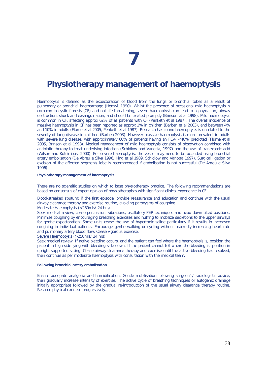### **Physiotherapy management of haemoptysis**

Haemoptysis is defined as the expectoration of blood from the lungs or bronchial tubes as a result of pulmonary or bronchial haemorrhage (Hensyl, 1990). Whilst the presence of occasional mild haemoptysis is common in cystic fibrosis (CF) and not life-threatening, severe haemoptysis can lead to asphyxiation, airway destruction, shock and exsanguination, and should be treated promptly (Brinson *et al* 1998). Mild haemoptysis is common in CF, affecting approx 62% of all patients with CF (Penketh *et al* 1987). The overall incidence of massive haemoptysis in CF has been reported as approx 1% in children (Barben *et al* 2003), and between 4% and 10% in adults (Flume *et al* 2005, Penketh *et al* 1987). Research has found haemoptysis is unrelated to the severity of lung disease in children (Barben 2003). However massive haemoptysis is more prevalent in adults with severe lung disease, with approximately 60% of patients having an FEV<sub>1</sub> <40% predicted (Flume *et al* 2005, Brinson *et al* 1998). Medical management of mild haemoptysis consists of observation combined with antibiotic therapy to treat underlying infection (Schidlow and Varlotta, 1997) and the use of tranexamic acid (Wilson and Kotsimbos, 2000). For severe haemoptysis, the vessel may need to be occluded using bronchial artery embolisation (De Abreu e Silva 1996, King *et al* 1989, Schidlow and Varlotta 1997). Surgical ligation or excision of the affected segment/ lobe is recommended if embolisation is not successful (De Abreu e Silva 1996).

#### **Physiotherapy management of haemoptysis**

There are no scientific studies on which to base physiotherapy practice. The following recommendations are based on consensus of expert opinion of physiotherapists with significant clinical experience in CF.

Blood-streaked sputum: if the first episode, provide reassurance and education and continue with the usual airway clearance therapy and exercise routine, avoiding paroxysms of coughing.

#### Moderate Haemoptysis (<250mls/ 24 hrs)

Seek medical review, cease percussion, vibrations, oscillatory PEP techniques and head down tilted positions. Minimise coughing by encouraging breathing exercises and huffing to mobilize secretions to the upper airways for gentle expectoration. Some units cease the use of hypertonic saline particularly if it results in increased coughing in individual patients. Encourage gentle walking or cycling without markedly increasing heart rate and pulmonary artery blood flow. Cease vigorous exercise.

#### Severe Haemoptysis (>250mls/ 24 hrs)

Seek medical review. If active bleeding occurs, and the patient can feel where the haemoptysis is, position the patient in high side lying with bleeding side down. If the patient cannot tell where the bleeding is, position in upright supported sitting. Cease airway clearance therapy and exercise until the active bleeding has resolved, then continue as per moderate haemoptysis with consultation with the medical team.

#### **Following bronchial artery embolisation**

Ensure adequate analgesia and humidification. Gentle mobilisation following surgeon's/ radiologist's advice, then gradually increase intensity of exercise. The active cycle of breathing techniques or autogenic drainage initially appropriate followed by the gradual re-introduction of the usual airway clearance therapy routine. Resume physical exercise progressively.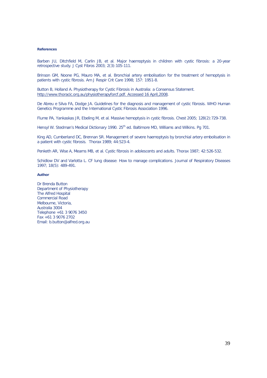#### **References**

Barben JU, Ditchfield M, Carlin JB, et al. Major haemoptysis in children with cystic fibrosis: a 20-year retrospective study. J Cyst Fibros 2003; 2(3):105-111.

Brinson GM, Noone PG, Mauro MA, et al. Bronchial artery embolisation for the treatment of hemoptysis in patients with cystic fibrosis. Am J Respir Crit Care 1998; 157: 1951-8.

Button B, Holland A. Physiotherapy for Cystic Fibrosis in Australia: a Consensus Statement. http://www.thoracic.org.au/physiotherapyforcf.pdf. Accessed 16 April,2008.

De Abreu e Silva FA, Dodge JA. Guidelines for the diagnosis and management of cystic fibrosis. WHO Human Genetics Programme and the International Cystic Fibrosis Association 1996.

Flume PA, Yankaskas JR, Ebeling M, et al. Massive hemoptysis in cystic fibrosis. Chest 2005; 128(2):729-738.

Hensyl W. Stedman's Medical Dictionary 1990. 25<sup>th</sup> ed. Baltimore MD, Williams and Wilkins. Pg 701.

King AD, Cumberland DC, Brennan SR. Management of severe haemoptysis by bronchial artery embolisation in a patient with cystic fibrosis. Thorax 1989; 44:523-4.

Penketh AR, Wise A, Mearns MB, et al. Cystic fibrosis in adolescents and adults. Thorax 1987; 42:526-532.

Schidlow DV and Varlotta L. CF lung disease: How to manage complications. Journal of Respiratory Diseases 1997; 18(5): 489-491.

#### **Author**

Dr Brenda Button Department of Physiotherapy The Alfred Hospital Commercial Road Melbourne, Victoria, Australia 3004 Telephone +61 3 9076 3450 Fax +61 3 9076 2702 Email: b.button@alfred.org.au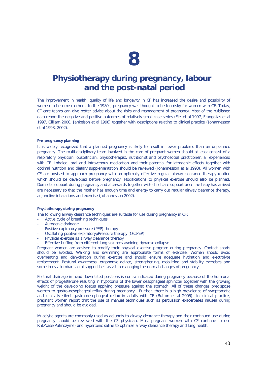### **Physiotherapy during pregnancy, labour and the post-natal period**

The improvement in health, quality of life and longevity in CF has increased the desire and possibility of women to become mothers. In the 1980s, pregnancy was thought to be too risky for women with CF. Today, CF care teams can give better advice about the risks and management of pregnancy. Most of the published data report the negative and positive outcomes of relatively small case series (Fiel *et al* 1997, Frangolias *et al* 1997, Gilljam 2000, Jankelson *et al* 1998) together with descriptions relating to clinical practice (Johannesson et al 1998, 2002).

#### **Pre-pregnancy planning**

It is widely recognized that a planned pregnancy is likely to result in fewer problems than an unplanned pregnancy. The multi-disciplinary team involved in the care of pregnant women should at least consist of a respiratory physician, obstetrician, physiotherapist, nutritionist and psychosocial practitioner, all experienced with CF. Inhaled, oral and intravenous medication and their potential for iatrogenic effects together with optimal nutrition and dietary supplementation should be reviewed (Johannesson *et al* 1998). All women with CF are advised to approach pregnancy with an optimally effective regular airway clearance therapy routine which should be developed before pregnancy. Modifications to physical exercise should also be planned. Domestic support during pregnancy and afterwards together with child care support once the baby has arrived are necessary so that the mother has enough time and energy to carry out regular airway clearance therapy, adjunctive inhalations and exercise (Johannesson 2002).

#### **Physiotherapy during pregnancy**

The following airway clearance techniques are suitable for use during pregnancy in CF:

- Active cycle of breathing techniques
- Autogenic drainage
- Positive expiratory pressure (PEP) therapy
- Oscillating positive expiratorypPressure therapy (OscPEP)
- Physical exercise as airway clearance therapy
- Effective huffing from different lung volumes avoiding dynamic collapse

Pregnant women are advised to modify their physical exercise program during pregnancy. Contact sports should be avoided. Walking and swimming are appropriate forms of exercise. Women should avoid overheating and dehydration during exercise and should ensure adequate hydration and electrolyte replacement. Postural awareness, ergonomic advice, strengthening, mobilizing and stability exercises and sometimes a lumbar sacral support belt assist in managing the normal changes of pregnancy.

Postural drainage in head down tilted positions is contra-indicated during pregnancy because of the hormonal effects of progesterone resulting in hypotonia of the lower oesophageal sphincter together with the growing weight of the developing foetus applying pressure against the stomach. All of these changes predispose women to gastro-oesophageal reflux during pregnancy. Further, there is a high prevalence of symptomatic and clinically silent gastro-oesophageal reflux in adults with CF (Button *et al* 2005). In clinical practice, pregnant women report that the use of manual techniques such as percussion exacerbates nausea during pregnancy and should be avoided.

Mucolytic agents are commonly used as adjuncts to airway clearance therapy and their continued use during pregnancy should be reviewed with the CF physician. Most pregnant women with CF continue to use RhDNase(Pulmozyme) and hypertonic saline to optimize airway clearance therapy and lung health.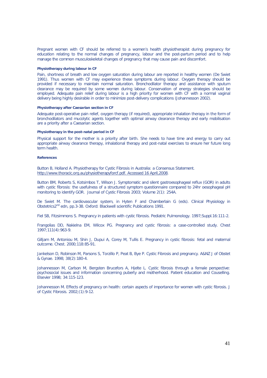Pregnant women with CF should be referred to a women's health physiotherapist during pregnancy for education relating to the normal changes of pregnancy, labour and the post-partum period and to help manage the common musculoskeletal changes of pregnancy that may cause pain and discomfort.

#### **Physiotherapy during labour in CF**

Pain, shortness of breath and low oxygen saturation during labour are reported in healthy women (De Swiet 1991). Thus women with CF may experience these symptoms during labour. Oxygen therapy should be provided if necessary to maintain normal saturation. Bronchodilator therapy and assistance with sputum clearance may be required by some women during labour. Conservation of energy strategies should be employed. Adequate pain relief during labour is a high priority for women with CF with a normal vaginal delivery being highly desirable in order to minimize post-delivery complications (Johannesson 2002).

#### **Physiotherapy after Caesarian section in CF**

Adequate post-operative pain relief, oxygen therapy (if required), appropriate inhalation therapy in the form of bronchodilators and mucolytic agents together with optimal airway clearance therapy and early mobilisation are a priority after a Caesarian section.

#### **Physiotherapy in the post-natal period in CF**

Physical support for the mother is a priority after birth. She needs to have time and energy to carry out appropriate airway clearance therapy, inhalational therapy and post-natal exercises to ensure her future long term health

#### **References**

Button B, Holland A. Physiotherapy for Cystic Fibrosis in Australia: a Consensus Statement. http://www.thoracic.org.au/physiotherapyforcf.pdf. Accessed 16 April,2008.

Button BM, Roberts S, Kotsimbos T, Wilson J. Symptomatic and silent gastroesophageal reflux (GOR) in adults with cystic fibrosis: the usefulness of a structured symptom questionnaire compared to 24hr oesophageal pH monitoring to identify GOR. Journal of Cystic Fibrosis 2003; Volume 2(1): 254A.

De Swiet M. The cardiovascular system, in Hyten F and Chamberlain G (eds). Clinical Physiology in Obstetrics2nd edn, pp.3-38. Oxford: Blackwell scientific Publications 1991.

Fiel SB, Fitzsimmons S. Pregnancy in patients with cystic fibrosis. Pediatric Pulmonology. 1997;Suppl.16:111-2.

Frangolias DD, Nakielna EM, Wilcox PG. Pregnancy and cystic fibrosis: a case-controlled study. Chest 1997;111(4):963-9.

Gilljam M, Antoniou M, Shin J, Dupui A, Corey M, Tullis E. Pregnancy in cystic fibrosis: fetal and maternal outcome. Chest. 2000;118:85-91.

Jankelson D, Robinson M, Parsons S, Torzillo P, Peat B, Bye P. Cystic Fibrosis and pregnancy. A&NZ J of Obstet & Gynae. 1998; 38(2):180-4.

Johannesson M, Carlson M, Bergsten Brucefors A, Hjelte L. Cystic fibrosis through a female perspective: psychosocial issues and information concerning puberty and motherhood. Patient education and Couselling. Elsevier 1998; 34:115-123.

Johannesson M. Effects of pregnancy on health: certain aspects of importance for women with cystic fibrosis. J of Cystic Fibrosis. 2002;(1):9-12.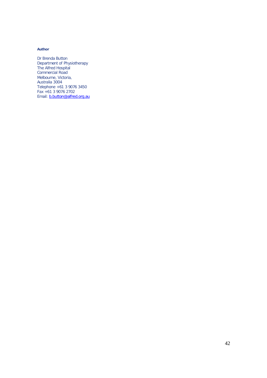#### **Author**

Dr Brenda Button Department of Physiotherapy The Alfred Hospital Commercial Road Melbourne, Victoria, Australia 3004 Telephone +61 3 9076 3450 Fax +61 3 9076 2702 Email: **b.button@alfred.org.au**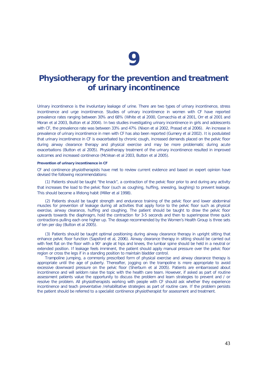### **Physiotherapy for the prevention and treatment of urinary incontinence**

Urinary incontinence is the involuntary leakage of urine. There are two types of urinary incontinence, stress incontinence and urge incontinence. Studies of urinary incontinence in women with CF have reported prevalence rates ranging between 30% and 68% (White *et al* 2000, Cornacchia *et al* 2001, Orr *et al* 2001 and Moran *et al* 2003, Button *et al* 2004). In two studies investigating urinary incontinence in girls and adolescents with CF, the prevalence rate was between 33% and 47% (Nixon *et al* 2002, Prasad *et al* 2006). An increase in prevalence of urinary incontinence in men with CF has also been reported (Gumery *et al* 2002). It is postulated that urinary incontinence in CF is exacerbated by chronic cough, increased demands placed on the pelvic floor during airway clearance therapy and physical exercise and may be more problematic during acute exacerbations (Button *et al* 2005). Physiotherapy treatment of the urinary incontinence resulted in improved outcomes and increased continence (McVean et al 2003, Button *et al* 2005).

#### **Prevention of urinary incontinence in CF**

CF and continence physiotherapists have met to review current evidence and based on expert opinion have devised the following recommendations:

(1) Patients should be taught "the knack", a contraction of the pelvic floor prior to and during any activity that increases the load to the pelvic floor (such as coughing, huffing, sneezing, laughing) to prevent leakage. This should become a lifelong habit (Miller *et al* 1998).

(2) Patients should be taught strength and endurance training of the pelvic floor and lower abdominal muscles for prevention of leakage during all activities that apply force to the pelvic floor such as physical exercise, airway clearance, huffing and coughing. The patient should be taught to draw the pelvic floor upwards towards the diaphragm, hold the contraction for 3-5 seconds and then to superimpose three quick contractions pulling each one higher up. The dosage recommended by the Women's Health Group is three sets of ten per day (Button *et al* 2005).

(3) Patients should be taught optimal positioning during airway clearance therapy in upright sitting that enhance pelvic floor function (Sapsford *et al*, 2006). Airway clearance therapy in sitting should be carried out with feet flat on the floor with a 90° angle at hips and knees, the lumbar spine should be held in a neutral or extended position. If leakage feels imminent, the patient should apply manual pressure over the pelvic floor region or cross the legs if in a standing position to maintain bladder control.

Trampoline jumping, a commonly prescribed form of physical exercise and airway clearance therapy is appropriate until the age of puberty. Thereafter, jogging on the trampoline is more appropriate to avoid excessive downward pressure on the pelvic floor (Sherburn *et al* 2005). Patients are embarrassed about incontinence and will seldom raise the topic with the health care team. However, if asked as part of routine assessment patients value the opportunity to discuss the problem and learn strategies to prevent and / or resolve the problem. All physiotherapists working with people with CF should ask whether they experience incontinence and teach preventative /rehabilitative strategies as part of routine care. If the problem persists the patient should be referred to a specialist continence physiotherapist for assessment and treatment.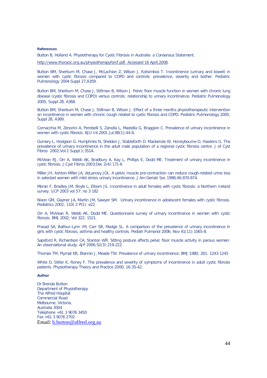#### **References**

Button B, Holland A. Physiotherapy for Cystic Fibrosis in Australia: a Consensus Statement.

http://www.thoracic.org.au/physiotherapyforcf.pdf. Accessed 16 April,2008.

Button BM, Sherburn M, Chase J, McLachlan Z, Wilson J, Kotsimbos T. Incontinence (urinary and bowel) in women with cystic fibrosis compared to COPD and controls: prevalence, severity and bother. Pediatric Pulmonology 2004 Suppl 27,A359.

Button BM, Sherburn M, Chase J, Stillman B, Wilson J. Pelvic floor muscle function in women with chronic lung disease (cystic fibrosis and COPD) versus controls: relationship to urinary incontinence. Pediatric Pulmonology 2005; Suppl 28, A368.

Button BM, Sherburn M, Chase J, Stillman B, Wilson J. Effect of a three months physiotherapeutic intervention on incontinence in women with chronic cough related to cystic fibrosis and COPD. Pediatric Pulmonology 2005; Suppl 28, A369.

Cornacchia M, Zenorini A, Perobelli S, Zanolla L, Mastella G, Braggion C. Prevalence of urinary incontinence in women with cystic fibrosis. BJU Int.2001 Jul;88(1):44-8.

Gumery L, Hodgson G. Humphries N, Sheldon J, Stableforth D. Mackenzie W, Honeybourne D, Hawkins G. The prevalence of urinary incontinence in the adult male population of a regional cystic fibrosis centre. J of Cyst Fibros 2002;Vol.1 Suppl.1:351A.

McVean RJ, Orr A, Webb AK, Bradbury A, Kay L, Phillips E, Dodd ME. Treatment of urinary incontinence in cystic fibrosis. J Cyst Fibros 2003;Dec 2(4):171-6

Miller JH, Ashton-Miller JA, deLancey JOL. A pelvic muscle pre-contraction can reduce cough-related urine loss in selected women with mild stress urinary incontinence. J Am Geriatr Soc 1998;46:870-874.

Moran F, Bradley JM, Boyle L, Elborn JS. Incontinence in adult females with cystic fibrosis: a Northern Ireland survey. IJCP 2003 vol 57: no 3 182

Nixon GM, Glazner JA, Martin JM, Sawyer SM. Urinary incontinence in adolescent females with cystic fibrosis. Pediatrics 2002; 110( 2 Pt1): e22

Orr A, MvVean R, Webb AK, Dodd ME. Questionnaire survey of urinary incontinence in women with cystic fibrosis. BMJ 2002; Vol 322: 1521.

Prasad SA, Balfour-Lynn IM, Carr SB, Madge SL. A comparison of the prevalence of urinary incontinence in girls with cystic fibrosis, asthma and healthy controls. Pediatr Pulmonol 2006; Nov 41(11):1065-8.

Sapsford R, Richardson CA, Stanton WR. Sitting posture affects pelvic floor muscle activity in parous women: An observational study. AJP 2006;52(3):219-222.

Thomas TM, Plymat KR, Blannin J, Meade TW. Prevalence of urinary incontinence. BMJ 1980; 281: 1243-1245

White D, Stiller K, Roney F. The prevalence and severity of symptoms of incontinence in adult cystic fibrosis patients. Physiotherapy Theory and Practice 2000; 16:35-42.

#### **Author**

Dr Brenda Button Department of Physiotherapy The Alfred Hospital Commercial Road Melbourne, Victoria, Australia 3004 Telephone +61 3 9076 3450 Fax +61 3 9076 2702 Email: b.button@alfred.org.au